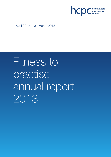

1 April 2012 to 31 March 2013

# Fitness to practise annual report 2013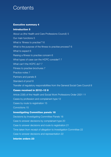# **Contents**

# **Executive summary 4**

# **Introduction 5**

About us (the Health and Care Professions Council) 5 Our main functions 5 What is 'fitness to practise'? 6 What is the purpose of the fitness to practise process? 6 What to expect 6 Raising a fitness to practise concern 6 What types of case can the HCPC consider? 7 What can't the HCPC do? 7 Fitness to practise brochures 7 Practice notes 7 Partners and panels 8 Standard of proof 8 Transfer of regulatory responsibilities from the General Social Care Council 8

# **Cases received in 2012–13 9**

Article 22(6) of the Health and Social Work Professions Order 2001 11 Cases by profession and complainant type 12 Cases by route to registration 15 Convictions 15

# **Investigating Committee panels 16**

Decisions by Investigating Committee Panels 18 Case to answer decisions by complainant type 20 Case to answer decisions and route to registration 21 Time taken from receipt of allegation to Investigation Committee 22 Case to answer decisions and representation 22

### **Interim orders 23**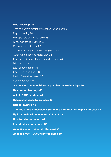### **Final hearings 25**

Time taken from receipt of allegation to final hearing 26 Days of hearing 28 What powers do panels have? 28 Outcomes at final hearings 29 Outcome by profession 29 Outcome and representation of registrants 31 Outcome and route to registration 32 Conduct and Competence Committee panels 33 Misconduct 33 Lack of competence 34 Convictions / cautions 36 Health Committee panels 37 Not well founded 37 **Suspension and conditions of practice review hearings 40 Restoration hearings 43 Article 30(7) hearings 44 Disposal of cases by consent 45 Discontinuance 46 The role of the Professional Standards Authority and High Court cases 47 Update on developments for 2012–13 48 How to raise a concern 49 List of tables and graphs 50 Appendix one – Historical statistics 51 Appendix two – GSCC transfer cases 59**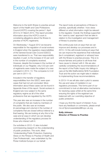# Executive summary

Welcome to the tenth fitness to practise annual report of the Health and Care Professions Council (HCPC) covering the period 1 April 2012 to 31 March 2013. This report provides information about the HCPC's work in considering allegations about the fitness to practise of HCPC registrants.

On Wednesday 1 August 2012 we became responsible for the regulation of social workers in England when the regulatory responsibilities of the General Social Care Council (GSCC) were transferred to us. That new responsibility resulted, in part, to the increase of 44 per cent in the number of complaints received. However, despite the increase in the number of individuals on our Register, only 0.53 per cent of registrants were made the subject of a new complaint in 2012–13. This compares to 0.42 per cent in 2011–12.

Included in the transfer of regulatory responsibilities from the GSCC were open cases that had not yet concluded. More information about these cases can be found in Appendix three of this report. Social workers in England are now subject to the same regulatory regime as all of the other professions that are regulated by the HCPC.

This year also saw an increase in the number of complaints that are made by members of the public. We also saw an increase (in percentage and volume) in the number of complaints that are closed without referral to a final hearing. We are looking at why this is the case and at ways in which we can develop understanding of the regulatory process for those who interact with it.

Our activities in 2012–13 also included commissioning research on the understanding of public protection. This work, titled 'Understanding Public Protection; Exploring Views on the Fitness to Practise of Health and Care Professionals', was undertaken by the Picker Institute Europe on our behalf.

The report looks at perceptions of fitness to practise, specifically whether / how views differed on what information might be relevant to the regulator. Overall, the findings supported the 'case by case' approach that we take in relation to the investigation and management of fitness to practise cases.

We continuously look at ways that we can improve and develop our processes and in 2013–14 this will include looking at ways that we can improve the experience that individuals (be it complainant, registrant or witness) have with the fitness to practise process. This is to ensure fairness and justice to all those that have cause to interact with it. We are also carefully considering the recommendations of the report of the Public Inquiry into failings in care at the Mid Staffordshire NHS Foundation Trust and the action we might take in relation to implementing those recommendations.

In 2013–14 we will also start a pilot to assess the use and value of mediation in our regulatory processes. This forms part of our commitment to look at alternative mechanisms for resolving cases whilst at the same time ensuring the rights of the registrant are balanced with our overriding objective of public protection.

I hope you find this report of interest. If you have any feedback or comments, please email me at ftpnoncaserelated@hcpc-uk.org

### **Kelly Johnson Director of Fitness to Practise**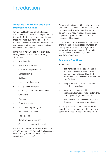# **Introduction**

# **About us (the Health and Care Professions Council)**

We are the Health and Care Professions Council (HCPC), a regulator set up to protect the public. To do this, we keep a register of those who meet our standards for their training, professional skills and behaviour. We can take action if someone on our Register falls below our standards.

In the year 1 April 2012 to 31 March 2013 we regulated members of the following 16 professions.

- Arts therapists
- Biomedical scientists
- Chiropodists / podiatrists
- Clinical scientists
- Dietitians
- Hearing aid dispensers
- Occupational therapists
- Operating department practitioners
- **Orthoptists**
- **Paramedics**
- **Physiotherapists**
- Practitioner psychologists
- Prosthetists / orthotists
- Radiographers
- Social workers in England
- Speech and language therapists

Each of the professions we regulate has one or more 'protected titles' (protected titles include titles like 'physiotherapist' and 'operating department practitioner').

Anyone not registered with us who misuses a protected title is breaking the law, and could be prosecuted. It is also an offence for a person who is not a registered hearing aid dispenser to perform the functions of a dispenser of hearing aids.

For a full list of protected titles and for further information about the protected function of hearing aid dispensers, please go to our website at www.hcpc-uk.org. Registration can be checked online or by calling +44 (0)845 300 6184.

### **Our main functions**

To protect the public, we:

- set standards for the education and training, professional skills, conduct, performance, ethics and health of registrants (the professionals who are on our Register);
- keep a register of professionals who meet those standards;
- approve programmes which professionals must complete before they can apply for registration with us; and
- take action when professionals on our Register do not meet our standards.

For an up-to-date list of the professions we regulate, or to learn more about the role of a particular profession, see www.hcpc-uk.org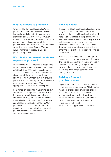#### **What is 'fitness to practise'?**

When we say that a professional is 'fit to practise' we mean that they have the skills, knowledge and character to practise their profession safely and effectively. However, fitness to practise is not just about professional performance. It also includes acts by a professional which may affect public protection or confidence in the profession. This may include matters not directly related to professional practice.

### **What is the purpose of the fitness to practise process?**

Our fitness to practise process is designed to protect the public from those who are not fit to practise. If a professional's fitness to practise is 'impaired', it means that there are concerns about their ability to practise safely and effectively. This may mean that they should not practice at all, or that they should be limited in what they are allowed to do. We will take appropriate actions to make this happen.

Sometimes professionals make mistakes that are unlikely to be repeated. This means that the person's overall fitness to practise is unlikely to be 'impaired'. People sometimes make mistakes or have a one-off instance of unprofessional conduct or behaviour. Our processes do not mean that we will pursue every isolated or minor mistake. However, if a professional is found to fall below our standards, we will take action.

#### **What to expect**

If a concern about a professional is raised with us, you can expect us to treat everyone involved in the case fairly and explain what will happen at each stage of the process. We will keep everyone involved in the case up-to-date with the progress of our investigation. We allocate a case manager to each case. They are neutral and do not take the side of either the registrant or the person who makes us aware of concerns.

Their role is to manage the case throughout the process and to gather relevant information. They act as a contact for everyone involved in the case. They cannot give legal advice. However, they can explain how the process works and what panels consider when making decisions.

### **Raising a fitness to practise concern**

Anyone can contact us and raise a concern about a registered professional. This includes members of the public, employers, the police and other professionals. You can find information about how to tell us about a fitness to practise concern in our brochure How to raise a concern, which can be found on our website at www.hcpc-uk.org/publications/brochures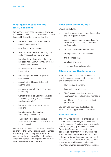# **What types of case can the HCPC consider?**

We consider every case individually. However, a professional's fitness to practise is likely to be impaired if the evidence shows that they:

- were dishonest, committed fraud or abused someone's trust;
- exploited a vulnerable person;
- failed to respect service users' rights to make choices about their own care;
- have health problems which they have not dealt with, and which may affect the safety of service users;
- hid mistakes or tried to block our investigation;
- had an improper relationship with a service user;
- carried out reckless or deliberately harmful acts;
- seriously or persistently failed to meet standards;
- were involved in sexual misconduct or indecency (including any involvement in child pornography);
- have a substance abuse or misuse problem;
- have been violent or displayed threatening behaviour; or
- carried out other, equally serious, activities which affect public confidence in the profession.

We can also consider concerns about whether an entry to the HCPC Register has been made fraudulently or incorrectly. For example, the person may have provided false information when they applied to be registered or we may have registered them by mistake.

# **What can't the HCPC do?**

We are not able to:

- consider cases about professionals who are not registered with us;
- consider cases about organisations (we only deal with cases about individual professionals);
- deal with customer-service issues;
- arrange refunds or compensation;
- fine a professional;
- give legal advice; or
- make a professional apologise.

#### **Fitness to practise brochures**

For more information about the fitness to practise process, please contact us to request one of the following brochures.

- How to raise a concern
- Information for witnesses
- The fitness to practise process information for employers and managers
- What happens if a concern is raised about me?

You can also find these publications at www.hcpc-uk.org/publications/brochures

### **Practice notes**

The HCPC has a number of practice notes in place for the various stages of the fitness to practise process. Practice notes are issued by the Council for the guidance of Practice Committee Panels and to assist those appearing before them. New practice notes are issued on a regular basis and all current notes are reviewed to ensure that they are fit for purpose. All of the HCPC's practice notes are publicly available on our website at www.hcpc-uk.org/publications/practicenotes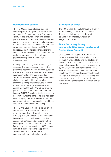#### **Partners and panels**

The HCPC uses the profession-specific knowledge of HCPC 'partners' to help carry out its work. Partners are drawn from a wide variety of backgrounds – including clinical practice, education and management. We also use lay partners to sit on our panels. Lay panel members are individuals who are not and have never been eligible to be on the HCPC Register. At least one registrant partner and one lay partner sit on our panels to ensure that we have appropriate public input and professional expertise in the decisionmaking process.

At every public hearing there is also a legal assessor. The legal assessor does not take part in the decision-making process, but gives the panel and the others involved advice and information on law and legal procedure. The HCPC does not use legally qualified panel chairs as we feel that the role of a legal assessor is an important safeguard in fitness to practise proceedings, ensuring that all parties are treated fairly. Any advice given to panels is stated in the public element of the hearing. At HCPC hearings, the legal assessor does not sit with the panel. This step has been taken to signify their independence from the panel and their role in giving advice to all those who are in attendance at the hearing.

The HCPC's Council members do not sit on our Fitness to Practise Panels. This is to maintain separation between those who set Council policy and those who make decisions in relation to individual fitness to practise cases. This contributes to ensuring that our hearings are fair, independent and impartial. Furthermore, employees of the HCPC are not involved in the decision-making process. This ensures decisions are made independently and are free from any bias.

#### **Standard of proof**

The HCPC uses the 'civil standard of proof' in its final hearing fitness to practise cases. This means that panels consider, on the balance of probabilities, whether an allegation is proven.

# **Transfer of regulatory responsibilities from the General Social Care Council**

On Wednesday 1 August 2012 the HCPC became responsible for the regulation of social workers in England following the abolition of the General Social Care Council (GSCC). As a result, all open conduct cases being dealt with by the GSCC were transferred to the HCPC. More information about the cases that were transferred can be found in Appendix three of this report. For simplicity and consistency with previous years' annual reports, we do not report on the transfer cases in the main text of this report.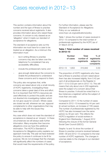# Cases received in 2012–13

This section contains information about the number and the type of fitness to practise concerns received about registrants. It also provides information about who raised these concerns. A concern is only classed as an 'allegation' when it meets our standard of acceptance for allegations.

The standard of acceptance sets out the information we must have for a case to be treated as an allegation. As a minimum this information must:

- be in writing (fitness to practise concerns may also be taken over the telephone if a complainant has any accessibility difficulties);
- include the professional's name; and
- give enough detail about the concerns to enable the professional to understand these concerns and to respond to them.

The policy also recognises that, while concerns are raised about only a small minority of HCPC registrants, investigating these concerns takes a great deal of time and effort. So it is important that HCPC's resources are used effectively to protect the public and are not diverted into investigating matters which do not give cause for concern. Where cases are closed we will, wherever we can, signpost complainants to other organisations that may be able to help with the issues they have raised.

Any case which does not meet the standard of acceptance is classed as an 'enquiry'. In these circumstances we will always seek further information. Many enquiries then become allegations once we have this additional information. The HCPC's Standard of Acceptance for Allegations policy explains our approach more fully. This year we have reviewed the policy to ensure it continues to be fit for purpose. We do not envisage that the changes will significantly affect the numbers of cases that would meet the requirements of the policy. For further information, please see the Standard of Acceptance for Allegations Policy on our website at www.hcpc-uk.org/publications/policy

Table 1 shows the number of cases received in 2012–13 compared to the total number of professionals registered by the HCPC (as of 31 March 2013).

#### **Table 1 Total number of cases received in 2012–13**

|         | <b>Number</b><br>of cases | Total<br>number of<br>registrants | $%$ of<br>registrants<br>subject to<br>complaints |
|---------|---------------------------|-----------------------------------|---------------------------------------------------|
| 2012-13 | 1,653                     | 310,942                           | 0.53                                              |

The proportion of HCPC registrants who have had a fitness to practise concern raised about them has also increased slightly, from 0.42 per cent of all professionals on the Register in 2011–12 to 0.53 per cent in 2012–13. This still means that only about one in 200 registrants were the subject of a concern about their fitness to practise. It should be noted that in a few instances a registrant will be the subject of more than one case.

Compared to 2011–12 the number of cases received in 2012–13 increased by 44 per cent (in actual numbers, an increase of 728 cases). The number of professionals registered by the HCPC has also increased over the same period, by 30 per cent. This reflects the HCPC's regulation of social workers in England from Wednesday 1 August 2012 following the closure of the former General Social Care Council (GSCC).

Graphs 1a and 1b show the number of fitness to practise concerns received between 2008– 09 and 2012–13 compared to the total number of HCPC registrants. The changes in volumes relate to the changes in our standard of acceptance.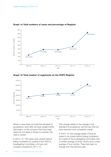

#### **Graph 1a Total numbers of cases and percentage of Register**

**Graph 1b Total number of registrants on the HCPC Register**



Where a case does not meet the standard of acceptance, even after we have sought further information, or the concerns that have been raised do not relate to fitness to practise, the case is closed.

In 2012–13, 706 cases were closed without being considered by a panel of the HCPC's Investigating Committee, a 54 per cent increase compared to 2011–12.

This change relates to the change in the standard of acceptance, and the fact that we have received more complaints overall.

In 2012–13, the average length of time for cases to be closed without being considered by a panel of the Investigating Committee was a median average of three months and a mean average of four months. There has been no change from the previous year.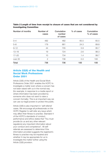| Number of months | Number of<br>cases | Cumulative<br>number<br>of cases | % of cases | Cumulative<br>% of cases |
|------------------|--------------------|----------------------------------|------------|--------------------------|
| $0 - 4$          | 482                | 482                              | 65.5       | 65.5                     |
| $5 - 8$          | 179                | 661                              | 24.3       | 89.8                     |
| $9 - 12$         | 44                 | 705                              | 5.9        | 95.7                     |
| $13 - 16$        | 19                 | 724                              | 2.6        | 98.3                     |
| $17 - 20$        | 10                 | 734                              | 1.4        | 99.7                     |
| over 20          | 2                  | 736                              | 0.3        | 100                      |
| <b>Total</b>     | 736                | 736                              | 100        | 100                      |

#### **Table 2 Length of time from receipt to closure of cases that are not considered by Investigating Committee**

# **Article 22(6) of the Health and Social Work Professions Order 2001**

Article 22(6) of the Health and Social Work Professions Order 2001 enables the HCPC to investigate a matter even where a concern has not been raised with us in the normal way (for example, in response to a media report or where information has been provided by someone who does not want to raise a concern formally). This is an important way we can use our legal powers to protect the public.

Article 22(6) is also important in 'self-referral' cases. We encourage all professionals on the HCPC Register to self-refer any issue which may affect their fitness to practise. Standard 4 of the HCPC's standards of conduct, performance and ethics states that "You must provide (to us and any other relevant regulators) any important information about your conduct and competence". All selfreferrals are assessed to determine if the information provided suggests the registrant's fitness to practise may be impaired and whether it may be appropriate for us to investigate the matter further using the Article 22(6) provision.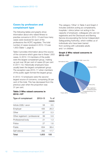# **Cases by profession and complainant type**

The following tables and graphs show information about who raised fitness to practise concerns in 2012–13 and how many cases were received for each of the professions the HCPC regulates. The total number of cases received in 2012–13 was 1,653 (Table 1, page 9).

Table 3 provides information about the source of the concerns which gave rise to these 1,653 cases. In 2012–13 members of the public were the largest complainant group, making up just over 38 per cent of cases (25 per cent in 2011–12). Historically employers have usually been the largest complainant group. The exception was 2010–11 when members of the public again formed the largest group.

In 2012–13 employers were the second largest source of concerns, comprising 26 per cent of the total. This has decreased from the previous year when the proportion was 31 per cent.

#### **Table 3 Who raised concerns in 2012–13?**

| Type of complainant             | $2012 - 13$ | % of<br>cases |
|---------------------------------|-------------|---------------|
| Article 22(6) / anon            | 58          | 3.5           |
| Employer                        | 435         | 26.3          |
| Other                           | 87          | 5.3           |
| Other registrant / professional | 99          | 5.9           |
| Professional body               | 21          | 1.3           |
| Police                          | 27          | 1.6           |
| Public                          | 634         | 38.4          |
| Self referral                   | 292         | 17.7          |
| Total                           | 1,653       | 100           |

The category 'Other' in Table 3 and Graph 2 includes solicitors acting as complainants, hospitals / clinics (when not acting in the capacity of employer), colleagues who are not registrants and the Disclosure and Barring Service (incorporating the former Independent Safeguarding Authority), which notifies us of individuals who have been barred from working with vulnerable adults and / or children.

#### **Graph 2 Who raised concerns in 2012–13?**

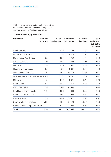Table 4 provides information on the breakdown of cases received by profession and gives a comparison to the Register as a whole.

#### **Table 4 Cases by profession**

| Profession                         | <b>Number</b><br>of cases | $%$ of<br>total cases | Number of<br>registrants | % of the<br>Register | $%$ of<br>registrants<br>subject to<br>concerns |
|------------------------------------|---------------------------|-----------------------|--------------------------|----------------------|-------------------------------------------------|
| Arts therapists                    | $\overline{7}$            | 0.42                  | 3,185                    | 1.02                 | 0.22                                            |
| <b>Biomedical scientists</b>       | 37                        | 2.24                  | 22,402                   | 7.2                  | 0.17                                            |
| Chiropodists / podiatrists         | 53                        | 3.21                  | 12,754                   | 4.1                  | 0.42                                            |
| Clinical scientists                | 9                         | 0.54                  | 4,847                    | 1.56                 | 0.19                                            |
| <b>Dietitians</b>                  | 13                        | 0.79                  | 7,890                    | 2.54                 | 0.16                                            |
| Hearing aid dispensers             | 25                        | 1.51                  | 1,806                    | 0.58                 | 1.38                                            |
| Occupational therapists            | 76                        | 4.6                   | 33,717                   | 10.84                | 0.23                                            |
| Operating department practitioners | 45                        | 2.72                  | 11,246                   | 3.62                 | 0.4                                             |
| Orthoptists                        | $\mathbf{2}$              | 0.12                  | 1,329                    | 0.43                 | 0.15                                            |
| Paramedics                         | 262                       | 15.85                 | 19,373                   | 6.23                 | 1.35                                            |
| Physiotherapists                   | 123                       | 7.44                  | 46,842                   | 15.06                | 0.26                                            |
| Practitioner psychologists         | 179                       | 10.83                 | 19,341                   | 6.22                 | 0.93                                            |
| Prosthetists / orthotists          | 1                         | 0.06                  | 936                      | 0.3                  | 0.11                                            |
| Radiographers                      | 55                        | 3.33                  | 27,820                   | 8.95                 | 0.2                                             |
| Social workers in England          | 733                       | 44.34                 | 83,421                   | 26.84                | 0.88                                            |
| Speech and language therapists     | 33                        | $\mathbf{2}$          | 14,033                   | 4.51                 | 0.24                                            |
| <b>Total</b>                       | 1,653                     | 100                   | 310,942                  | 100                  | 0.53                                            |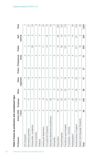| Table 5 Cases by profession and compl |                          | lainant type      |               |                          |               |                             |               |                  |         |
|---------------------------------------|--------------------------|-------------------|---------------|--------------------------|---------------|-----------------------------|---------------|------------------|---------|
| Profession                            | / Anon<br>Article 22(6)  | Employer          | Other         | Other<br>registrant      |               | Police Professional<br>body | Public        | Self<br>referral | Total   |
| Arts therapists                       | $\circ$                  | S                 | $\sim$        | $\circ$                  | O             | $\circ$                     | ┯             |                  |         |
| Biomedical scientists                 | S                        | $\overline{\top}$ | $\sim$        | က်<br>၂                  | O             | O                           | $\circ$       | $\infty$         | 22      |
| Chiropodists / podiatrists            | S                        | $\sim$            | $\mathcal{C}$ | 4                        | S             | ᠇                           | 28            | 5                | 53      |
| Clinical scientists                   | ۳                        | ᠇                 |               | S                        | O             | O                           | $\sim$        |                  | တ       |
| Dietitians                            | т                        | 5                 | O             | O                        | O             |                             | S             | ∞                | က်<br>၂ |
| Hearing aid dispensers                | $\overline{\mathcal{C}}$ | $\infty$          | O             |                          | O             | $\mathcal{C}$               | $\frac{1}{1}$ |                  | 25      |
| Occupational therapists               | 4                        | 27                | $\circ$       | $\sim$                   | O             |                             | $\frac{0}{1}$ | $\frac{8}{1}$    | 76      |
| Operating department practitioners    | 2                        | 29                |               |                          |               |                             | S             | ∼                | 45      |
| Orthoptists                           | O                        | $\circ$           | O             | O                        | O             | O                           |               |                  | $\sim$  |
| Paramedics                            | 26                       | 87                | $\frac{5}{1}$ | $\overline{\phantom{0}}$ |               | O                           | $\frac{8}{1}$ | 98               | 262     |
| Physiotherapists                      | $\circ$                  | 25                | $\frac{0}{1}$ | 4                        | $\circ$       | S                           | 56            | $\frac{0}{1}$    | 123     |
| Practitioner psychologists            | $\sim$                   | $\infty$          | 23            | $\frac{0}{1}$            |               | ᠇                           | <b>COL</b>    | က<br>1           | 179     |
| Prosthetists / orthotists             | T                        | $\circ$           | $\circ$       | $\circ$                  | O             | $\circ$                     | O             | $\circ$          |         |
| Radiographers                         | T                        | 25                | $\mathcal{C}$ | 5                        | 5             | $\circ$                     | 4             | က်<br>၂          | 55      |
| Social workers in England             | $\frac{2}{1}$            | 176               | SO            | 22                       | $\frac{0}{1}$ | ∓                           | 371           | $\overline{101}$ | 733     |

Speech and derection and  $\alpha$  and  $\alpha$  1  $\alpha$  1  $\alpha$  1  $\alpha$  16  $\alpha$  16  $\alpha$  16  $\alpha$  16 Total 58 58 99 89 27 27 27 27 28 99 593 1,653

 $\overline{ }$ 

 $\circ$ 58

Speech and language therapists

Total

က္လ

 $\overline{A}$ 

 $\frac{6}{1}$ 

 $\circ$ 

 $\circ$ 27

1,653

293

633

 $\overline{\mathbf{z}}$ 

57  $\overline{\phantom{0}}$ 

89

435  $\overline{\top}$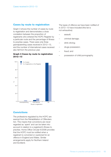### **Cases by route to registration**

Graph 3 shows the number of cases by route to registration and demonstrates a close correlation between the proportion of registrants who entered the HCPC Register by a particular route and the percentage of fitness to practise cases. There were only three grandparenting cases received in 2012–13, and the number of international cases received also fell from the previous year.

#### **Graph 3 Cases by route to registration 2012–13**

The types of offence we have been notified of in 2012–13 have included (this list is not exhaustive):

- assault;
- criminal damage;
- drink driving;
- drugs possession;
- fraud; and
- possession of child pornography.



# **Convictions**

The professions regulated by the HCPC are exempt from the Rehabilitation of Offenders Act. This means that convictions are never regarded as 'spent' and can be taken into account in relation to a registrant's fitness to practise. Home Office Circular 6/2006 provides that the HCPC must be notified when a registrant is convicted or cautioned for an offence in England and Wales. Similar arrangements apply for Northern Ireland and Scotland.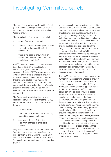# Investigating Committee panels

The role of an Investigating Committee Panel (ICP) is to consider allegations made against registrants and to decide whether there is a 'case to answer.'

The Investigating Committee can decide that:

- more information is needed;
- there is a 'case to answer' (which means the matter will proceed to a final hearing); or
- there is 'no case to answer' (which means that the case does not meet the 'realistic prospect' test).

An ICP meets in private to conduct a paperbased consideration of the allegation. Neither the registrant nor the complainant appears before the ICP. The panel must decide whether or not there is a 'case to answer' based on the documents before it. The test that the panel applies when making its decision is the 'realistic prospect' test. The panel must decide whether there is a 'realistic prospect' that the HCPC will be able to establish that the registrant's fitness to practise is impaired.

The Panel must be satisfied that there is a realistic or genuine possibility that the HCPC, which has the burden of proof, will be able to prove:

- 1. the facts alleged;
- 2. that those facts amount to the statutory ground (eg misconduct); and
- 3. as a result of 1 and 2, that the Registrant's fitness to practise is impaired.

Only cases that meet all three elements of the 'realistic prospect' test can be referred for consideration at a final hearing. Panels must consider the allegation as whole. Examples of 'no case to answer' decisions can be found on page 18.

In some cases there may be information which proves the facts of a case. However, the panel may consider that there is no realistic prospect of establishing that the facts amount to the ground(s) of the allegation (eg misconduct, lack of competence etc). Likewise, panels may consider that there is sufficient information to establish that there is a realistic prospect of proving the facts and the ground(s) of the allegation but there is no realistic prospect of establishing that the registrant's fitness to practise is impaired. This could be because the incident that gave rise to the concern was an isolated lapse that is unlikely to recur, or there is evidence to show the registrant has taken action to correct the behaviour that led to the allegation being made. Such cases would result in a 'no case to answer' decision and the case would not proceed.

The HCPC has been continuing to monitor the number of cases receiving a 'case to answer' decision at ICP stage and to refine the ICP decision-making process. In 2010–11, we introduced the use of 'learning points' as an additional tool available to ICPs. Learning points can only be used by ICPs in cases where the panel concludes that there is a realistic prospect of proving the facts and statutory ground of the allegation but not fitness to practise impairment. The panel may include learning points or comments on other matters arising from the statutory ground of the allegation, which the panel considers should be brought to the attention of the registrant. Learning points must be general in nature and are designed to act as guidance only. The introduction of learning points is considered to help ensure that the fitness to practise process is proportionate and that matters are referred for consideration at a final hearing only when the 'realistic prospect' test is fully met. In 2012–13 ICPs issued learning points in seven cases.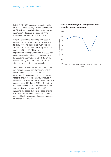In 2012–13, 563 cases were considered by an ICP. Of those cases, 20 were considered at ICP twice as panels had requested further information. This is an increase from the 516 cases that went to an ICP in 2011–12.

Graph 4 shows the percentage of 'case to answer' decisions each year from 2007–08 to 2012–13. The 'case to answer' rate for 2012–13 is 58 per cent. This is up seven per cent from 2011–12. This may in part be explained by the higher number of cases that were closed prior to being considered by an Investigating Committee in 2012–13 on the basis that they did not meet the HCPC's standard of acceptance for allegations.

The 'case to answer' rate for 2012–13 does not include cases where further information was requested by the panel. If those cases were taken into account, the percentage of 'case to answer' decisions would reduce in relation to the total number of cases that were considered at ICP during 2012–13. Similarly, the 'case to answer' rate reduced by 18 per cent of all cases received in 2012–13, including the cases that were closed prior to ICP. The case to answer rate is 24 per cent, when taking into account all cases closed at, or prior to, ICP stage.

#### **Graph 4 Percentage of allegations with a case to answer decision**

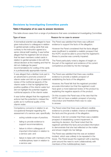# **Decisions by Investigating Committee panels**

#### **Table 6 Examples of no case to answer decisions**

This table shows cases from a range of professions that were considered at Investigating Committee.

|                                                                                                                                                                                                                    | Type of issue                                                                                                                                                                                                                | Reason for no case to answer                                                                                                                                                                                            |  |  |
|--------------------------------------------------------------------------------------------------------------------------------------------------------------------------------------------------------------------|------------------------------------------------------------------------------------------------------------------------------------------------------------------------------------------------------------------------------|-------------------------------------------------------------------------------------------------------------------------------------------------------------------------------------------------------------------------|--|--|
|                                                                                                                                                                                                                    | A biomedical scientist was alleged to have<br>given instructions to colleagues in relation                                                                                                                                   | The Panel was satisfied that there was sufficient<br>evidence to support the facts of the allegation.                                                                                                                   |  |  |
|                                                                                                                                                                                                                    | to genital sample coding cards that was<br>contrary to the instruction agreed at a<br>senior clinical staff meeting. It was further<br>alleged that the registrant did not ensure<br>that his team members coded cards in    | However the Panel considered that the facts alleged<br>were insufficient to establish a realistic prospect that<br>the HCPC would be able to prove that the registrant's<br>fitness to practise was currently impaired. |  |  |
| relation to genital samples in line with the<br>clinical decision at the meeting and that he<br>did not challenge his peers'<br>recommendations for coding of the cards<br>in a professionally appropriate manner. |                                                                                                                                                                                                                              | The Panel particularly noted a degree of insight on<br>the part of the registrant and evidence of his current<br>competence provided by his line manager.                                                               |  |  |
|                                                                                                                                                                                                                    | It was alleged that a dietitian took part in<br>an advertorial to promote a brand of<br>vitamin water and did not give a balanced                                                                                            | The Panel was satisfied that there was credible<br>evidence to provide a realistic prospect of<br>establishing the facts of the allegation.                                                                             |  |  |
|                                                                                                                                                                                                                    | review of the nutritional aspects of the<br>vitamin water in that he highlighted the<br>positive qualities of the vitamin water but<br>did not highlight the potential negative<br>nutritional aspects of the vitamin water. | However, the Panel felt that the registrant provided<br>accurate information but that the registrant could<br>have given a more balanced review of the product by<br>explaining the negative aspects of the product.    |  |  |
| It was further alleged that the registrant's<br>actions had the potential to mislead the<br>public as to nutritional quality of the<br>vitamin water.                                                              |                                                                                                                                                                                                                              | On this occasion the Panel was of the view that the<br>HCPC did not have a realistic prospect of proving<br>misconduct and therefore there was no case<br>to answer.                                                    |  |  |
| Competency concerns in relation to an<br>occupational therapist regarding the<br>assessment of a service user, specifically:                                                                                       |                                                                                                                                                                                                                              | The Panel noted that there was sufficient credible<br>evidence to provide a realistic chance of establishing<br>the facts and the grounds of the allegation.                                                            |  |  |
|                                                                                                                                                                                                                    | acting outside scope of practice;                                                                                                                                                                                            | However, it did not consider that there was a realistic<br>prospect of establishing current impairment. In                                                                                                              |  |  |
|                                                                                                                                                                                                                    | failing to provide evidence to<br>support recommendations;                                                                                                                                                                   | reaching its decision, the Panel noted that the<br>registrant admitted the facts and provided information                                                                                                               |  |  |
|                                                                                                                                                                                                                    | failure to inform colleagues of<br>important information in relation to                                                                                                                                                      | to demonstrate that she had reflected on the matter<br>and shown insight into her failings.                                                                                                                             |  |  |
|                                                                                                                                                                                                                    | a service user; and                                                                                                                                                                                                          | The Panel was satisfied that this was an isolated<br>incident, which was unlikely to be repeated in the                                                                                                                 |  |  |
|                                                                                                                                                                                                                    | failure to liaise with members of the<br>multidisciplinary team in relation to<br>a service user.                                                                                                                            | future. The Panel issued the registrant with a learning<br>point around the need to work collaboratively with<br>members of the multidisciplinary team.                                                                 |  |  |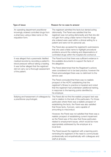| Type of issue                                                                                                                                | Reason for no case to answer                                                                                                                                                                                                                                                                                            |  |  |
|----------------------------------------------------------------------------------------------------------------------------------------------|-------------------------------------------------------------------------------------------------------------------------------------------------------------------------------------------------------------------------------------------------------------------------------------------------------------------------|--|--|
| An operating department practitioner<br>knowingly ordered controlled drugs from<br>a pharmacy using a false name on the<br>requisition form. | The registrant admitted the facts but denied acting<br>dishonestly. The Panel was satisfied that the<br>registrant was not acting dishonestly and that she did<br>not gain from using a false name in that the drugs<br>she ordered were used within a clinical setting for a<br>patient and were not for personal use. |  |  |
|                                                                                                                                              | The Panel also accepted the registrant's submissions<br>that she used a false name to highlight procedural<br>problems around the ordering and dispensations of<br>controlled drugs within the hospital she worked at.                                                                                                  |  |  |
| It was alleged that a paramedic falsified<br>medical records by recording a patient's<br>blood pressure without taking a reading.            | The Panel found that there was sufficient evidence in<br>the available documents to support the facts of<br>the allegation.                                                                                                                                                                                             |  |  |
| It was further alleged that the registrant<br>did not carry out a thorough assessment<br>of the patient.                                     | The Panel determined that the Registrant's actions<br>were considered not to be best practice; however the<br>Panel acknowledged there was no detriment to the<br>service user.                                                                                                                                         |  |  |
|                                                                                                                                              | The Panel concluded that there was no realistic<br>prospect of the HCPC establishing that the<br>registrant's fitness to practice is impaired and noted<br>that the registrant had undertaken additional training,<br>in response to the learning points identified by<br>his employer.                                 |  |  |
| Bullying and harassment of colleagues by<br>a practitioner psychologist.                                                                     | The Panel did not find the realistic prospect test was<br>met in relation to the bulk of the particulars. For those<br>particulars where there was a realistic prospect of<br>establishing the facts, the Panel was also satisfied<br>that those facts, if proven, were capable of<br>amounting to misconduct.          |  |  |
|                                                                                                                                              | However, the Panel was not satisfied that there was a<br>realistic prospect of establishing current impairment<br>as the Panel was of the view that those particulars<br>related to employment issues, which would be more<br>appropriately addressed by the employer at a<br>local level.                              |  |  |
|                                                                                                                                              | The Panel issued the registrant with a learning point,<br>reminding the registrant of the need to communicate<br>professionally and empathetically with colleagues and<br>staff at all levels.                                                                                                                          |  |  |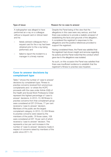|                                                     | Type of issue                                                                                                                                                                                  | Reason for no case to answer                                                                                                                                                                                                                                                                                                                                |
|-----------------------------------------------------|------------------------------------------------------------------------------------------------------------------------------------------------------------------------------------------------|-------------------------------------------------------------------------------------------------------------------------------------------------------------------------------------------------------------------------------------------------------------------------------------------------------------------------------------------------------------|
| and he:                                             | A radiographer was alleged to have<br>performed an x-ray on a colleague<br>without a request card or clinical need<br>falsely advised colleagues that a<br>request card for the x-ray had been | Despite the Panel being of the view that the<br>allegations in this case were very serious, and that<br>there was evidence to provide a realistic prospect of<br>establishing the facts and grounds of the allegation,<br>it considered the registrant's responses to the<br>allegations and the positive references provided to<br>support the registrant. |
| obtained prior to the x-ray being<br>performed; and | Having considered these, the Panel was satisfied that                                                                                                                                          |                                                                                                                                                                                                                                                                                                                                                             |
|                                                     | failed to report the incident to a<br>manager in a timely manner.                                                                                                                              | the registrant had shown insight and remorse regarding<br>his actions and the Panel noted that the conduct which<br>gave rise to the allegations was isolated.                                                                                                                                                                                              |
|                                                     |                                                                                                                                                                                                | As such, on this occasion the Panel was satisfied that<br>there was insufficient evidence to establish that the<br>registrant's fitness to practise was impaired.                                                                                                                                                                                           |

# **Case to answer decisions by complainant type**

Table 7 shows the number of 'case to answer' decisions by complainant type. Fitness to practise concerns received from anonymous complainants and / or where the HCPC proceeds with the case under Article 22(6) of the Health and Social Work Professions Order represent the highest percentage of 'case to answer' decisions. In 2012–13, 68 fitness to practise concerns from that complainant group were considered at ICP. Of those, 77 per cent received a 'case to answer' decision. Members of the public are the largest complainant category. In 2012–13, 634 fitness to practise concerns were raised by the members of the public. Of those cases, 108 were considered at ICP, 19 per cent of which received a 'case to answer' decision. This represents a two per cent increase in the number of 'case to answer' decisions made in respect of concerns raised by members of the public since 2011–12.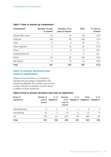#### **Table 7 Case to answer by complainant**

| Complainant          | Number of case<br>to answer | Number of no<br>case to answer | <b>Total</b>   | % case to<br>answer |
|----------------------|-----------------------------|--------------------------------|----------------|---------------------|
| Article 22(6) / anon | 52                          | 16                             | 68             | 76.5                |
| Employer             | 188                         | 68                             | 256            | 73.4                |
| Other                | 14                          | 6                              | 20             | 70                  |
| Other registrant     | 6                           | 16                             | 22             | 27.3                |
| Police               | 7                           | 8                              | 15             | 46.7                |
| Professional body    |                             |                                | $\overline{2}$ | 50                  |
| Public               | 20                          | 88                             | 108            | 18.5                |
| Self referral        | 13                          | 19                             | 32             | 40.6                |
| <b>Total</b>         | 301                         | 222                            | 523            | 57.6                |

# **Case to answer decisions and route to registration**

Table 8 shows that there is a consistency between the percentage of registrants who entered the Register via a certain route and the number of fitness to practise concerns raised in relation to those registrants.

#### **Table 8 Case to answer decisions and route to registration**

| Route to<br>registration | Number of<br>case to<br>answer | $%$ of<br>allegations | <b>Number</b><br>of no<br>case to<br>answer | $%$ of | Total<br>allegations allegations allegations | $%$ of        |
|--------------------------|--------------------------------|-----------------------|---------------------------------------------|--------|----------------------------------------------|---------------|
| Grandparenting           | 6                              | $\mathcal{P}$         | $\mathcal{P}$                               |        | 8                                            | $\mathcal{P}$ |
| International            | 22                             |                       | 13                                          | 6      | 35                                           | 6             |
| UK                       | 273                            | 91                    | 207                                         | 93     | 480                                          | 92            |
| <b>Total</b>             | 301                            | 100                   | 222                                         | 100    | 523                                          | 100           |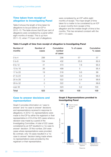# **Time taken from receipt of allegation to Investigating Panel**

Table 9 shows the length of time taken for allegations to be put before an ICP in 2012–13. The table shows that 83 per cent of allegations were considered by a panel within eight months of receipt. This is up from 2011–12, when 77.9 per cent of allegations

were considered by an ICP within eight months of receipt. The mean length of time taken for a matter to be considered by an ICP is seven months from receipt of the allegation and the median length of time is five months. This has remained constant with the 2011–12 cases.

# Number of Mumber of Cumulative 500 % of cases Cumulative months cases number  $\%$  cases of cases 0 to 4 298 298 298 57 57 5 to 8 134 432 25.6 82.6 9 to 12 **41** 473 7.8 90.4 13 to 16 **26** 26 **499** 5 95.4 17 to 20 19 19 19 518 3.6 99 21 to 24 2 320 0.4 99.4 25 to 28 2 522 0.4 99.8 29 to 32 0 522 0 99.8 over 33 **1** 1 523 0.2 100 Total 523 523 100 100

### **Table 9 Length of time from receipt of allegation to Investigating Panel**

# **Case to answer decisions and representation**

Graph 5 provides information on 'case to answer' and 'no case to answer' decisions and representations received in response to allegations. In 2012–13, representations were made to the ICP by either the registrant or their representative in 419 of the 523 cases where a decision was made by a panel of the Investigating Committee. A total of 222 cases considered by an ICP resulted in a 'no case to answer' decision. Of this number, 204 were cases where representations were provided. By contrast, only 18 cases resulted in a 'no case to answer' decision being made where no representations were provided by the registrant or their representative.

#### **Graph 5 Representations provided to Investigating Panel**

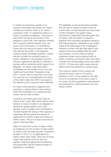# Interim orders

In certain circumstances, panels of our practice committees may impose an 'interim conditions of practice order' or an 'interim suspension order' on registrants subject to a fitness to practise investigation. This power is used when the nature and severity of the allegation is such that, if the registrant remains free to practice without restraint, they may pose a risk to the public or to themselves. Panels will only impose an interim order when they feel that the public or the registrant involved require immediate protection. Panels will also consider the potential impact on public confidence in the regulatory process should a registrant be allowed to continue to practise without restriction whilst subject to an allegation. An interim order takes effect immediately and its duration is set out in the Health and Social Work Professions Order 2001. It cannot last for more than 18 months. If a case has not concluded before the expiry of the interim order, the HCPC must apply to the relevant court to have the order extended.

An interim order prevents a registrant from practising, or places limits on their practice, whilst the investigation is on-going and will remain until the case is heard.

A practice committee panel may make an interim order to take effect either before a final decision is made in relation to an allegation or pending an appeal against such a final decision. Case managers from the Fitness to Practise Department acting in their capacity of presenting officers present the majority of applications for interim orders and reviews of interim orders. This is to ensure resources are used to their best effect.

Table 10 shows the number of interim orders by profession and the number of cases where an interim order has been granted, reviewed or revoked. In 2012–13, 43 applications for interim orders were made. Thirty nine of those orders were granted and four were not granted. Operating department practitioners and paramedics had the highest number of applications considered.

The legislation we are governed by provides that we have to review an interim order six months after it is first imposed and every three months thereafter. The regular review mechanism is particularly important given that an interim order will restrict or prevent a registrant from practising altogether pending a final hearing decision. Applications are usually made at the initial stage of the investigation; therefore a review may also take place if new evidence becomes available after the order was imposed. In some cases an interim suspension order may be replaced with an interim conditions of practice order if the panel consider this will adequately protect the public. In 2012–13 there were eight cases where an interim order was revoked by a review panel.

The maximum length of time a panel can impose an interim order is 18 months, therefore in 2012–13 we applied to the High Court for an extension of an interim order in ten cases. All of the applications were granted and extended for a period between four and twelve months.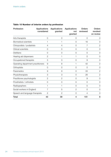| Profession                         | <b>Applications</b><br>considered | Applications<br>granted | <b>Applications</b><br>not<br>granted | <b>Orders</b><br>reviewed | <b>Orders</b><br>revoked<br>on review |
|------------------------------------|-----------------------------------|-------------------------|---------------------------------------|---------------------------|---------------------------------------|
| Arts therapists                    | $\overline{O}$                    | $\overline{0}$          | 0                                     | 0                         | 0                                     |
| <b>Biomedical scientists</b>       |                                   |                         | 0                                     | 16                        | $\Omega$                              |
| Chiropodists / podiatrists         | 4                                 | 4                       | $\overline{O}$                        | 7                         | $\overline{2}$                        |
| Clinical scientists                | 0                                 | 0                       | $\overline{0}$                        | $\overline{0}$            | $\mathcal{O}$                         |
| <b>Dietitians</b>                  | $\Omega$                          | $\overline{0}$          | $\overline{0}$                        | 0                         | 0                                     |
| Hearing aid dispensers             | $\overline{2}$                    | 1                       | 1                                     | 0                         | 0                                     |
| Occupational therapists            | 3                                 | 3                       | $\overline{O}$                        | $\overline{9}$            | $\mathcal{O}$                         |
| Operating department practitioners | $\mathcal{G}$                     | 8                       | 1                                     | 42                        | $\mathbf{2}$                          |
| Orthoptists                        | 0                                 | 0                       | $\overline{O}$                        | 0                         | $\overline{O}$                        |
| Paramedics                         | $\overline{9}$                    | $\mathcal{G}$           | $\overline{O}$                        | 33                        | $\mathbf{2}$                          |
| Physiotherapists                   | 3                                 | 3                       | $\overline{0}$                        | 26                        | $\mathbf{2}$                          |
| Practitioner psychologists         | $\mathbf{2}$                      | $\overline{2}$          | $\overline{O}$                        | $\Theta$                  | $\mathcal{O}$                         |
| Prosthetists / orthotists          | $\overline{O}$                    | $\overline{O}$          | $\overline{O}$                        | $\overline{0}$            | $\mathcal{O}$                         |
| Radiographers                      |                                   |                         | 0                                     | 5                         | $\Omega$                              |
| Social workers in England          | 7                                 | 5                       | $\overline{2}$                        | 0                         | $\Omega$                              |
| Speech and language therapists     | $\mathbf{2}$                      | $\mathbf{2}$            | $\overline{O}$                        | 4                         | $\circ$                               |
| <b>Total</b>                       | 43                                | 39                      | 4                                     | 151                       | 8                                     |

# **Table 10 Number of interim orders by profession**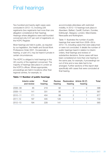# Final hearings

Two hundred and twenty eight cases were concluded in 2012–13, involving 226 registrants (two registrants had more than one allegation considered at their hearing). Hearings where allegations were well founded concerned only 0.07 per cent of registrants on the HCPC Register.

Most hearings are held in public, as required by our legislation, the Health and Social Work Professions Order 2001. Occasionally a hearing, or part of it, may be heard in private in certain circumstances.

The HCPC is obliged to hold hearings in the UK country of the registrant concerned. The majority of hearings take place in London at the HCPC's offices. Where appropriate, proceedings are held in locations other than regional centres, for example, to

accommodate attendees with restricted mobility. In 2012–13 hearings took place in Aberdeen, Belfast, Cardiff, Durham, Dundee, Edinburgh, Glasgow, London, Manchester, Newcastle and Nottingham.

Table 11 illustrates the number of public hearings that were held from 2008–09 to 2012–13, including cases that were adjourned or were not concluded. It details the number of public hearings heard in relation to interim orders, final hearings and reviews of substantive decisions. Some cases will have been considered at more than one hearing in the same year, for example, if proceedings ran out of time and a new date had to be arranged. Further sections of this report deal specifically with cases that were concluded at final hearing.

|             | Interim order<br>and review | <b>Final</b><br>hearing | <b>Review</b><br>hearing | hearing | Restoration Article 30 (7)<br>hearing | Total |
|-------------|-----------------------------|-------------------------|--------------------------|---------|---------------------------------------|-------|
| $2008 - 09$ | 85                          | 219                     | 92                       |         | $\bigcirc$                            | 396   |
| $2009 - 10$ | 141                         | 331                     | 95                       |         | $\left( \right)$                      | 567   |
| $2010 - 11$ | 171                         | 404                     | 99                       |         |                                       | 677   |
| $2011 - 12$ | 197                         | 405                     | 126                      | З       |                                       | 732   |
| $2012 - 13$ | 194                         | 228                     | 141                      |         |                                       | 565   |

#### **Table 11 Number of public hearings**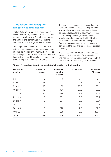# **Time taken from receipt of allegation to final hearing**

Table 12 shows the length of time it took for cases to conclude, measured from the date of receipt of the allegation. The table also shows the number and percentage of allegations cumulatively as the length of time increases.

The length of time taken for cases that were referred for a hearing to conclude was a mean of 16 and a median of 14 months from receipt of the allegation. In 2011–12 the mean average length of time was 17 months and the median average length of time was 15 months.

The length of hearings can be extended for a number of reasons. These include protracted investigations, legal argument, availability of parties and requests for adjournments, which can all delay proceedings. Where criminal investigations have begun, the HCPC will wait for the conclusion of court proceedings. Criminal cases are often lengthy in nature and can extend the time it takes for a case to reach a hearing.

Table 12 sets out the length of time for a case to conclude from receipt of the allegation to final hearing, which was a mean average of 16 months and median average of 14 months.

| Number of<br>months | Number of<br>cases | Cumulative<br>number<br>of cases | % of cases     | Cumulative<br>% cases |
|---------------------|--------------------|----------------------------------|----------------|-----------------------|
| $0$ to $4$          | $\overline{0}$     | $\mathcal{O}$                    | $\overline{O}$ | 0                     |
| $5$ to $8$          | 23                 | 23                               | 10.1           | 10.1                  |
| 9 to 12             | 66                 | 89                               | 28.9           | 39                    |
| 13 to 16            | 62                 | 151                              | 27.2           | 66.2                  |
| 17 to 20            | 37                 | 188                              | 16.3           | 82.4                  |
| 21 to 24            | 13                 | 201                              | 5.7            | 88.1                  |
| 25 to 28            | 6                  | 207                              | 2.6            | 90.7                  |
| 29 to 32            | 10                 | 217                              | 4.4            | 95.1                  |
| 33 to 36            | 5                  | 222                              | 2.2            | 97.3                  |
| Over 36             | 6                  | 228                              | 2.6            | 100                   |
| <b>Total</b>        | 228                | 228                              | 100            | 100                   |

#### **Table 12 Length of time from receipt of allegation to final hearing**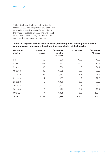Table 13 sets out the total length of time to close all cases from the point an allegation was received to case closure at different points in the fitness to practise process. The total length of time was a mean average of nine months and a median average of six months.

#### **Table 13 Length of time to close all cases, including those closed pre-ICP, those where no case to answer is found and those concluded at final hearing**

| Number of<br>months | Number of<br>cases | Cumulative<br>number<br>of cases | % of cases | Cumulative<br>% cases |
|---------------------|--------------------|----------------------------------|------------|-----------------------|
| $0$ to $4$          | 560                | 560                              | 47.2       | 47.2                  |
| $5$ to $8$          | 303                | 863                              | 25.6       | 72.8                  |
| 9 to 12             | 137                | 1,000                            | 11.6       | 84.4                  |
| 13 to 16            | 92                 | 1,092                            | 7.8        | 92.2                  |
| 17 to 20            | 51                 | 1,143                            | 4.3        | 96.5                  |
| 21 to 24            | 14                 | 1,157                            | 1.2        | 97.7                  |
| 25 to 28            | 6                  | 1,163                            | 0.5        | 98.2                  |
| 29 to 32            | 10                 | 1,173                            | 0.8        | 99                    |
| 33 to 36            | 5                  | 1,178                            | 0.4        | 99.4                  |
| Over 36             | $\overline{7}$     | 1,185                            | 0.6        | 100                   |
| Total               | 1,185              | 1,185                            | 100        | 100                   |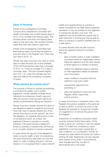### **Days of hearing**

Panels of the Investigating Committee, Conduct and Competence Committee and Health Committee met on 894 hearing days in 2012–13 to consider final hearing cases. This includes where more than one hearing takes place on the same day. This number includes cases that were part heard or adjourned.

Panels of the Investigating Committee hear final hearing cases concerning fraudulent or incorrect entry to the Register only. There was one case in 2012–13.

Panels may hear more than one case on some days to make the best use of time available. Of the 228 final hearing cases that concluded in 2012–13, it took an average of 2.5 days to conclude cases. This has increased slightly from 2011–12, when the average was two days and reflects the increasing complexity of cases.

### **What powers do panels have?**

The purpose of fitness to practise proceedings is to protect the public, not to punish registrants. Panels carefully consider all the individual circumstances of each case and take into account what has been said by all parties involved before making any decision.

Panels must first consider whether the facts of any allegations against a registrant are proven. They then have to decide whether any of the proven facts amount to the 'ground' set out in the allegation, for example misconduct or lack of competence and if, as a result, the registrant's fitness to practise is currently impaired. If the panel decide a registrant's fitness to practise is impaired they will then go on to consider whether to impose a sanction.

In cases where the ground of the allegations solely concerns health or lack of competence, the panel hearing the case does not have the option to make a striking off order in the first instance. It is recognised that in cases where ill health has impaired fitness to practise or where competence has fallen below expected standards, it may be possible for the registrant to remedy the situation over time. The registrant may be provided the opportunity to seek treatment or training and may be able to return to practice if a panel is satisfied that it is a safe option.

If a panel decides there are still concerns about the registrant being fit to practise, they can:

- take no further action or order mediation (a process where an independent person helps the registrant and the other people involved agree on a solution to issues);
- caution the registrant (place a warning on their registration details for between one to five years);
- make conditions of practice that the registrant must work under;
- suspend the registrant from practising; or
- strike the registrant's name from the Register, which means they cannot practice.

In cases of incorrect or fraudulent entry to the Register, the options available to the panel are to take no action, to amend the entry on the Register (for example to change the modality of a registrant) or to remove the person from the Register.

Suspension or conditions of practice orders must be reviewed before they expire. At the review a panel can continue or vary the original order. For health and competency cases, registration must have been suspended, or had conditions, or a combination of both, for at least two years before the panel can make a striking off order. Registrants can also request early reviews of any order if circumstances have changed and they are able to demonstrate this to the panel.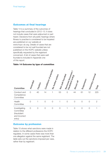### **Outcomes at final hearings**

Table 14 is a summary of the outcomes of hearings that concluded in 2012–13. It does not include cases that were adjourned or part heard. Decisions from all public hearings where fitness to practise is considered to be impaired are published on our website at www.hcpc-uk.org. Details of cases that are considered to be not well founded are not published on the HCPC website unless specifically requested by the registrant concerned. A list of cases that were well founded is included in Appendix one of this report.

#### **Table 14 Outcome by type of committee**

| Committee                                                            | Am <sub>ended</sub> | Caution        | Conditions of Practise | Mo further action | I Not well founded | Remo <sub>ved (incorrect)</sub><br><b>fraudulent</b> entry | Struck off     | Suspension     | Voluntary removal | Total          |
|----------------------------------------------------------------------|---------------------|----------------|------------------------|-------------------|--------------------|------------------------------------------------------------|----------------|----------------|-------------------|----------------|
| Conduct and<br>Competence<br>Committee                               | $\overline{O}$      | 40             | 14                     | 1                 | 53                 | $\mathcal{O}$                                              | 44             | 61             | 12                | 225            |
| Health<br>Committee                                                  | $\overline{0}$      | 1              | $\overline{O}$         | $\overline{O}$    |                    | $\overline{O}$                                             | $\overline{O}$ | $\overline{0}$ | $\overline{O}$    | $\overline{2}$ |
| Investigating<br>Committee<br>(fraudulant<br>and incorrect<br>entry) | $\mathcal{O}$       | $\overline{O}$ | $\mathcal{O}$          | $\mathcal{O}$     | $\mathcal{O}$      | 1                                                          | $\mathcal{O}$  | $\overline{O}$ | $\mathcal{O}$     | 1              |

### **Outcome by profession**

Table 15 shows what sanctions were made in relation to the different professions the HCPC regulates. In some cases there was more than one allegation against the same registrant. The table sets out the sanctions imposed per case, rather than by registrant.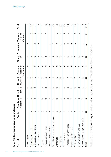| Table 15 Sanctions imposed by profession |                          |                             |                      |                          |                                             |                     |                          |                                   |                          |
|------------------------------------------|--------------------------|-----------------------------|----------------------|--------------------------|---------------------------------------------|---------------------|--------------------------|-----------------------------------|--------------------------|
| Profession                               | Caution                  | Conditions<br>practice<br>ð | No further<br>action | Not well<br>founded      | <i>(incorrect</i><br>Removed<br>fraudulent) | <b>Struck</b><br>tó | Suspension               | Voluntary<br>(Consent)<br>removal | Total                    |
| Arts therapists                          | O                        | $\circ$                     | O                    | $\circ$                  | $\circ$                                     | O                   | $\circ$                  | $\circ$                           | O                        |
| Biomedical scientists                    | 4                        | 4                           | O                    | S                        |                                             | 4                   |                          | $\circ$                           | $\overline{\phantom{0}}$ |
| Chiropodists / podiatrists               | O                        | O                           | O                    | ဖ                        | $\circ$                                     | Μ                   | $\sim$                   | O                                 | $\frac{1}{1}$            |
| Clinical scientists                      | O                        | O                           |                      | ┯                        | O                                           | ᠇                   | O                        | $\circ$                           | က                        |
| Dietitians                               | O                        | O                           | O                    | $\circ$                  | O                                           | O                   |                          | O                                 |                          |
| Hearing aid dispensers                   | $\circ$                  | O                           | O                    | $\sim$                   | O                                           |                     | ┯                        | ┯                                 | 5                        |
| Occupational therapists                  | S                        | S                           | $\circ$              | 4                        | $\circ$                                     | 4                   | $\frac{1}{1}$            | ↽                                 | 80                       |
| Operating department practitioners       | 5                        | ┯                           | O                    | $\sim$                   | $\circ$                                     | 4                   | $\sim$                   | $\overline{\phantom{0}}$          | $\overline{C}$           |
| Orthoptists                              | O                        | O                           | O                    | $\circ$                  | O                                           | O                   | O                        | $\circ$                           | $\circ$                  |
| Paramedics                               | $\frac{1}{1}$            |                             | O                    | $\frac{6}{1}$            | O                                           | $\frac{6}{1}$       | 24                       | $\sim$                            | 20                       |
| Physiotherapists                         | တ                        | 4                           | O                    | $\sim$                   | O                                           | $\sim$              | 4                        | $\mathcal{C}$                     | ကွ                       |
| Practitioner psychologists               | Ω                        | $\circ$                     | O                    | $\overline{\phantom{1}}$ | $\circ$                                     | O                   | Ω                        | $\circ$                           | က္                       |
| Prosthetists / orthotists                | $\overline{\phantom{0}}$ | $\circ$                     | O                    | O                        | O                                           | O                   | $\circ$                  | $\circ$                           |                          |
| Radiographers                            | 5                        | O                           | O                    | စ                        | O                                           | S                   | က                        | S                                 | SO                       |
| Social workers in England*               | $\circ$                  | $\circ$                     | O                    | $\circ$                  | $\circ$                                     | O                   | $\overline{\phantom{0}}$ | $\circ$                           |                          |
| Speech and language therapists           | $\circ$                  | ┯                           | O                    | O                        | $\circ$                                     | ┯                   | S                        | ┯                                 | ဖ                        |
| Total                                    | 4                        | $\frac{1}{4}$               |                      | 54                       | ┯                                           | 4                   | 61                       | ∓                                 | 227                      |
|                                          |                          |                             |                      |                          |                                             |                     |                          |                                   |                          |

\*This number reflects cases directly referred to the HCPC. For those transferred from the GSCC see Appendix three. \*This number reflects cases directly referred to the HCPC. For those transferred from the GSCC see Appendix three.

3 0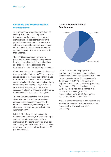# **Outcome and representation of registrants**

All registrants are invited to attend their final hearing. Some attend and represent themselves, whilst others bring a union or professional body representative or have professional representation, for example a solicitor or lawyer. Some registrants choose not to attend, but they can submit written representations for the panel to consider in their absence.

The HCPC encourages registrants to participate in their hearings where possible. It aims to make information about hearings and their procedures accessible and transparent in order to maximise participation.

Panels may proceed in a registrant's absence if they are satisfied that the HCPC has properly served notice of the hearing and that it is just to do so. Panels cannot draw any adverse conclusions from the fact that a registrant may fail to attend their hearing. They will receive independent legal advice from the legal assessor in relation to choosing whether or not to proceed in the absence of the registrant.

The panel must be satisfied that in all the circumstances, it would be appropriate to proceed in the registrant's absence. The HCPC's practice note, Proceeding in the absence of the registrant, provides further information on this.

In 2012–13, 14 per cent of registrants represented themselves, with a further 45 per cent choosing to be represented by a professional. This combined figure of 59 per cent is a slight reduction from 2011–12, when registrants or representatives attended in 67 per cent of cases.

#### **Graph 6 Representation at final hearings**



Graph 6 shows that the proportion of registrants at a final hearing representing themselves has remained constant with 14 per cent of cases in 2012–13, compared with 13 per cent in 2011–12. The number of registrants with a representative dropped from 54 per cent in 2011–12 to 45 per cent in 2012–13. There was also a change in the number of final hearings with no representation, rising from 33 per cent in 2011–12 to 41 per cent in 2012–13.

Table 16 details outcomes of final hearings and whether the registrant attended alone, with a representative or was absent from proceedings.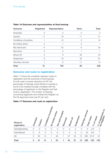| Outcome                | Registrant       | Representative | <b>None</b> | Total            |
|------------------------|------------------|----------------|-------------|------------------|
| Amended                | Ω                |                |             | $\left( \right)$ |
| Caution                | 11               | 19             | 11          | 41               |
| Conditions of practice |                  | 13             | ( )         | 14               |
| No further action      | $\left( \right)$ |                |             |                  |
| Not well found         | 6                | 42             | 6           | 54               |
| Removed                | 0                | $\Omega$       |             |                  |
| Struck off             | 3                | 8              | 33          | 44               |
| Suspension             | 9                | 19             | 33          | 61               |
| Voluntary removal      |                  | $\Omega$       | 11          | 12               |
| <b>Total</b>           | 31               | 102            | 95          | 228              |

#### **Table 16 Outcome and representation at final hearing**

### **Outcome and route to registration**

Table 17 shows the correlation between routes to registration and the outcomes of final hearings. As with case to answer decisions at ICP, the percentage of hearings where fitness to practise is found to be impaired broadly correlates with the percentage of registrants on the Register and their route to registration. The number of hearings concerning registrants who entered the Register via the UK approved route was 87 per cent.

#### **Table 17 Outcome and route to registration**

| Route to<br>registration | Amended        | Caution        | Conditions of Practice | No further action | Not well founded | Removed        | Struck off     | Suspension     |    | Voluntary removal | of cases<br>Total cases<br>$\%$ | $\delta$<br>of registrants<br>Register<br>$\frac{1}{\sqrt{2}}\delta$ |
|--------------------------|----------------|----------------|------------------------|-------------------|------------------|----------------|----------------|----------------|----|-------------------|---------------------------------|----------------------------------------------------------------------|
| Grandparenting           | $\circ$        | $\overline{0}$ | $\overline{O}$         | $\circ$           | 3                | $\overline{0}$ | 3              | $\overline{0}$ | 0  | 6                 | 2.6                             | $\overline{2}$                                                       |
| International            | $\overline{O}$ | 6              | $\overline{O}$         | $\circ$           | 6                | $\overline{0}$ | $\overline{4}$ | 6              | 0  | 22                | 9.6                             | 7                                                                    |
| UK                       | 0              | 35             | 14                     |                   | 45               |                | 37             | 55             | 12 | 200               | 87.8                            | 91                                                                   |
| <b>Total</b>             | 0              | 41             | 14                     |                   | 54               |                | 44             | 61             | 12 | 228               | 100                             | 100                                                                  |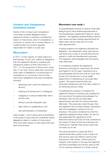# **Conduct and Competence Committee panels**

Panels of the Conduct and Competence Committee consider allegations that a registrant's fitness to practise is impaired by reason of misconduct, lack of competence, a conviction or caution for a criminal offence, or a determination by another regulator responsible for health or social care.

### **Misconduct**

In 2012–13 the majority of cases heard at a final hearing, 72 per cent, related to allegations that the registrant's fitness to practise was impaired by reason of their misconduct. In 2011–12, the proportion of misconduct cases was 77 per cent. Some cases also concerned other types of allegations concerning lack of competence or a conviction. Some of the misconduct allegations that were considered included:

- attending work under the influence of alcohol;
- bullying and harassment of colleagues;
- engaging in a sexual relationship with a service user;
- failing to provide adequate care;
- false claims to qualifications; and
- self-administration of medication.

Case studies 1 and 2 below give an illustration of the types of issue that are considered where allegations relate to matters of misconduct. They have been based on real cases that have been anonymised.

#### **Misconduct case study 1**

A physiotherapist received a Caution Order after being found to have entered appointments in the physiotherapy department's diary for 'ghost patients'. The registrant entered fictitious service user names and also entered appointments for dates when service users did not in fact have appointments.

In giving evidence the registrant admitted the allegation. The explanation given was that he had done this in order to provide free time for research, audit and development purposes. The registrant acknowledged that his actions were dishonest.

In considering whether the registrant's behaviour amounted to misconduct the panel had regard to his 20 years' experience as a physiotherapist and the fact that he must have known the importance in a busy health department of maintaining an accurate diary system. The panel observed that any dishonest interference with that diary system is an extremely serious matter.

Considering the question of whether the registrant's fitness to practise was impaired by his misconduct the panel acknowledged his admission that he had recorded false appointments and that his actions had been dishonest. The panel also noted though, that the registrant had not been entirely cooperative with the investigation carried out by his employer. The panel considered too that the registrant displayed limited insight. He did not fully appreciate the significance of his dishonest actions and had not fully understood the impact of what he had done because he continued to maintain that service users had not been put at risk.

The panel remarked in particular that a departmental diary system is put in place so that service users are offered a service that responds to their needs. Undermining the integrity of the system in the way the registrant had done potentially puts service users at risk of not receiving treatment in a timely manner.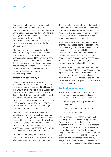In determining the appropriate sanction the panel had regard to the nature of the dishonesty and found it to be at the lower end of the scale. The panel noted in particular that the registrant had received no financial or personal gain by his dishonesty. The dishonesty appeared to the panel to be an aberration in an otherwise glowing 20-year career.

The panel was also impressed by evidence it heard from the registrant's colleagues who spoke highly of his commitment, his professional abilities and the trust they placed in him. In conclusion the panel was reassured that there was a very low risk of repetition of the misconduct and took the view that the public interest would not be served by removing the registrant from his professional practice.

#### **Misconduct case study 2**

A practitioner psychologist who was responsible for assessments and clinical care of service users with learning difficulties and behavioural problems was given a Suspension Order for twelve months after a panel of the Conduct and Competence Committee found that his record-keeping had been unsatisfactory over a lengthy period. This poor record-keeping included failure to maintain clinical records and to complete discharge summaries, letters and reports.

The panel found that as an experienced practitioner who had previously demonstrated competence the registrant should have been aware of the need to communicate effectively with service users and other practitioners, including through timely letters, reports and written summaries. The fact that he did not do so put service users and others at risk.

The panel commented that effective communication and records are essential to plan and monitor treatments and outcomes. There were lengthy periods when the registrant did not record notes for service users and he also treated vulnerable service users using his memory of previous visits rather than written records. The panel considered that these failures amounted to misconduct.

Although the registrant expressed his deep shame and admitted poor prioritisation of his record-keeping the panel had no evidence that the weaknesses impairing his fitness to practise at the time had been remedied. In the panel's view the registrant's misconduct created a serious risk of harm to service users. The panel therefore found the registrant's fitness to practise continued to be impaired.

In the judgement of the panel there was a real risk of repetition of the misconduct because the lapses were neither isolated nor minor. There had been a sustained course of misconduct involving a serious lack of professionalism. The panel decided that a Suspension Order was the appropriate sanction.

### **Lack of competence**

There were 110 allegations heard at final hearing that concerned issues of lack of competence in 2012–13. These included:

- failure to provide adequate service user care;
- inadequate clinical knowledge; and
- poor record-keeping.

Lack of competence allegations were most frequently cited as a reason of impairment of fitness to practise after allegations of misconduct in 2012–13. Of the 110 allegations concerning competence, only 25 related solely to lack of competence, rather than being alleged in the alternative (ie misconduct and / or lack of competence). In 2011–12, there were similar proportions of these cases, with 151 allegations relating to lack of competence, with only 22 having no misconduct or other aspects.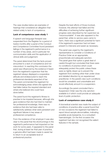The case studies below are examples of hearings that considered an allegation that related solely to lack of competence.

#### **Lack of competence case study 1**

A speech and language therapist was suspended from the Register for a period of twelve months after a panel of the Conduct and Competence Committee found persistent failings in the registrant's performance in a number of key areas, and in particular her communication skills and the application of clinical skills and judgement.

The panel determined that the facts proved amounted to a lack of competence and not misconduct. In reaching this conclusion the panel was influenced by the evidence it heard from the registrant's supervisor that the registrant always displayed a cooperative attitude and endeavoured to reach the professional standards expected of her. The panel commended the registrant for acknowledging areas where she agreed she had fallen below the required standard and where she believed she could have done better.

The panel found the registrant's fitness to practise to be impaired because, although she gave evidence that she had tried to maintain her professional knowledge, there was no evidence that she had been able to satisfactorily address what were persistent and significant failures in key areas of professional competence.

From the evidence of her employer it was also clear to the panel that the shortcomings in the registrant's performance had impacted on her work for some years. It appeared to the panel that, during at least her final year of practice, a genuine effort had been made to assist her to return to an acceptable level of professional practice.

Despite the best efforts of those involved, however, this attempt had failed and the difficulties of achieving further significant progress were described by her supervisor as "insurmountable". It was also apparent to the panel that, while no service users came to harm, there was a significant potential for harm if the registrant's supervisor had not been present to intervene and assist as necessary.

The panel was urged by the registrant's representative to consider a Conditions of Practice Order as an appropriate, proportionate and adequate sanction. The panel gave that option a great deal of careful thought but concluded that there were no conditions of practice which could adequately protect the public unless these were so tightly drawn as to prevent the registrant from working other than under close and detailed direction by an experienced practitioner. In the panel's view such conditions would be unrealistic and unworkable and would effectively amount to a suspension.

Accordingly the panel concluded that a Suspension Order was the only sanction available to it which could provide an adequate level of public protection.

#### **Lack of competence case study 2**

A biomedical scientist was made the subject of conditions of practice after a panel found that on two occasions the registrant had failed to report blood sample abnormalities, indicating possible acute leukaemia, to a consultant haematologist. On the first occasion the registrant had also not recognised the salient features in the sample.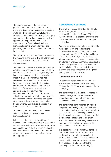The panel considered whether the facts proved amounted to misconduct but found that the registrant's errors were in the nature of mistakes. There had been no wilful acts or omissions. The panel found the registrant open and honest in the evidence he gave and it was apparent to the panel that he was an experienced, professional and dedicated biomedical scientist who understood the potentially serious consequences of the errors he had made.

The registrant had genuinely tried to explain or find reasons for the errors. The panel therefore found that the facts amounted to a lack of competence.

The panel also found the registrant's fitness to practise to be impaired by reason of his lack of competence. This was because, although he had shown some insight by accepting he had made mistakes, the registrant had not undertaken remediation since he was no longer working as a biomedical scientist. Furthermore his errors were such that the likelihood of their being repeated was unpredictable. The registrant had demonstrated competence in his biomedical scientist role for most of the time but there had nonetheless been serious lapses. The panel noted too that leukaemia may need to be treated urgently and delayed diagnosis may have had serious consequences.

The panel found that the registrant was not safe to practise as an autonomous biomedical scientist.

In the panel's judgement a Conditions of Practice Order would protect the public and be proportionate as it would allow the registrant to continue to work in the profession in which he had worked without any issues for a number of years and allow him to remediate his lack of competence.

### **Convictions / cautions**

There were 47 cases considered by panels where the registrant had been convicted or cautioned for a criminal offence. Of those, 40 related solely to allegations of convictions or cautions and did not include other types of allegation.

Criminal convictions or cautions were the third most frequent ground of allegations considered in 2012–13. This situation was unchanged from 2011–12. Under the Home Office Circular 6/2006, the HCPC is notified when a registrant is convicted or cautioned for an offence in England and Wales. Separate but similar arrangements apply in Scotland and Northern Ireland. The case study below is an example of a case concerning an allegation relating to a criminal conviction.

#### **Conviction case study**

An operating department practitioner was suspended for twelve months after being cautioned by police for two offences of theft by an employee.

The panel noted that the offences related to theft by the registrant of Remifentanil – a morphine-based controlled drug – from hospitals where he was working.

The panel noted from evidence provided by the police that the registrant had been seen in an operating theatre, apparently alone, with a syringe in his hand. The syringe was taken from him and a search of the theatre revealed a blood-stained tissue and three empty ampoules of Remifentanil. Irregularities were also found with the last two entries in the drugs record book for the theatre.

In a police interview the registrant admitted that he had taken two ampoules of the controlled drug from the drugs cabinet while he was at work and that he had mixed the drug with water and self-administered it by injection. He told police that the solution gave him a five minute "high".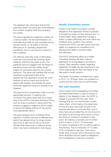The registrant also told police that he had previously stolen two ampoules of Remifentanil from another hospital within the preceding two weeks.

The panel regarded the registrant's actions as a serious matter. His self-administration of a controlled drug while at work inevitably had an adverse impact on his ability to function effectively as an operating department practitioner, and so was bound to present a risk to patients.

The offences were also ones of dishonesty, made the more serious as involving, albeit indirectly, theft from the public purse. The registrant had not engaged with the fitness to practise process and had neither shown insight nor expressed regret for his criminal behaviour. The panel was satisfied that he had breached fundamental tenets of the requirement that registrants should act in the interests of service users and should act always with integrity. Accordingly the panel found the registrant's fitness to practise to be impaired.

The panel found a Suspension Order to be the appropriate sanction. In reaching this conclusion the panel noted that, as is made clear in the HCPC's Indicative Sanctions Policy, such an order is punitive in nature and if the evidence suggests a registrant will be unable to resolve his failings striking off may be the more appropriate option.

The panel stopped short of striking off the registrant, however, because a relatively short period had elapsed since his drugs misuse had come to light and he had so far been afforded little opportunity to address issues which may have contributed to that misuse.

### **Health Committee panels**

Panels of the Health Committee consider allegations that registrants' fitness to practise is impaired by reason of their physical and / or mental health. Many registrants manage a health condition effectively and work within any limitations their condition may present. However the HCPC can take action when the health of a registrant is considered to be affecting their ability to practice safely and effectively.

The HCPC presenting officer at a Health Committee hearing will often make an application for proceedings to be heard in private. Often sensitive matters regarding registrants' ill-health are discussed and it may not be appropriate for that information to be discussed in public session.

The Health Committee considered two cases in 2012–13. Of those cases one resulted in a caution and the other was not well founded.

### **Not well founded**

Once a panel of the Investigating Committee has determined there is a case to answer in relation to the allegation made, the HCPC is obliged to proceed with the case. Final hearings that are 'not well founded' involve cases where, at the hearing, the panel does not find the facts have been proved to the required standard or concludes that, even if those facts are provided they do not amount to the statutory ground (eg misconduct) or show that fitness to practise is impaired. In that event, the hearing concludes and no further action is taken. In 2012–13 there were 54 cases considered to be not well founded at final hearing. This is a reduction of 14 cases (21%) compared to last year. There was a similar drop of 20 per cent in the previous year, which illustrates that the quality of allegations and investigations continues to improve.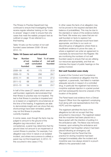The Fitness to Practise Department has continued to ensure that Investigating Panels receive regular refresher training on the 'case to answer' stage in order to ensure that only cases that meet the realistic prospect test as outlined on page 16 are referred to a final hearing.

Table 18 sets out the number of not well founded cases between 2008–09 and 2012–13.

| Year        | Number<br>of not<br>well<br>founded | Total<br>number of<br>concluded<br>cases | % of cases<br>not well<br>founded |
|-------------|-------------------------------------|------------------------------------------|-----------------------------------|
| $2008 - 09$ | 40                                  | 175                                      | 22.9                              |
| $2009 - 10$ | 76                                  | 256                                      | 29.7                              |
| $2010 - 11$ | 85                                  | 315                                      | 27.0                              |
| $2011 - 12$ | 68                                  | 287                                      | 23.7                              |
| $2012 - 13$ | 54                                  | 228                                      | 23.7                              |

#### **Table 18 Cases not well-founded**

In half of the cases (27 cases) which were not well founded, registrants demonstrated that their fitness to practise was not impaired. The test is that fitness to practise is impaired and so is based on a registrant's circumstances at the time of the hearing. If registrants are able to demonstrate insight and can show that any shortcomings have been remedied, panels may not find fitness to practise currently impaired.

In some cases, even though the facts may be judged to amount to the ground of the allegation (eg misconduct, lack of competence), a panel may determine that the ground does not amount to an impairment of current fitness to practise. For example, if an allegation was minor in nature or an isolated incident, and where reoccurrence is unlikely a panel may not find impairment. In 2012–13 this occurred in nine cases (17%).

In other cases the facts of an allegation may not be proved to the required standard (the balance of probabilities). This may be due to the standard or nature of the evidence before the Panel. We review any cases that are not well founded on facts to explore if an alternative form of disposal would have been appropriate, and links to our work on discontinuance of allegations where there is insufficient evidence to prove the case, or where a registrant can enter an agreement to voluntarily be removed from the Register. We are monitoring the numbers of not well founded cases to ensure that we are utilising our resources appropriately, and that we minimise the impact of public hearings on the parties involved.

#### **Not well founded case study**

A panel of the Conduct and Competence Committee considered an allegation that the registrant, a paramedic, had failed to maintain adequate security in respect of a controlled drug. In particular the registrant had stored a morphine sulphate injection in a jacket pocket and had subsequently become unaware of the location of the jacket.

The Panel heard oral evidence from a Clinical Support Officer from the registrant's employing trust along with oral representations from the HCPC and the registrant.

The registrant admitted the facts of the allegations but did not accept that they amounted to misconduct. The registrant stated that the morphine had been placed into a fleece jacket with the intention of putting it in the ambulance safe. The fleece was removed, however, upon entering the ambulance and the registrant had forgotten where it had been placed following an emergency call. The registrant told the Panel that this practice for storing morphine had been changed immediately after the incident and morphine was now always stored in a pouch affixed to the paramedic's belt.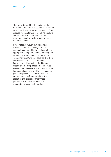The Panel decided that the actions of the registrant amounted to misconduct. The Panel noted that the registrant was in breach of the protocol for the storage of morphine sulphate and that this was not admitted to the registrant's employers afterwards for fear of the consequences.

It was noted, however, that this was an isolated incident and the registrant had demonstrated insight by fully adhering to the appropriate storage procedures following the receipt of a written warning from the trust. Accordingly the Panel was satisfied that there was no risk of repetition in the future. Furthermore, although there had been a breach of in-house protocol, the Panel was satisfied that the fleece in which the morphine had been placed was at all times in a secure place and presented no risk to patients. Consequently the Panel found that the allegation that the registrant's fitness to practise was impaired as a result of misconduct was not well founded.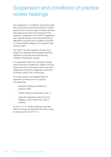# Suspension and conditions of practice review hearings

Any suspension or conditions of practice order that is imposed must be reviewed by a further panel prior to its expiry date. A review may also take place at any time at the request of the registrant concerned or the HCPC. Registrants may request reviews if they are experiencing difficulties complying with conditions imposed or if new evidence relating to the original order comes to light.

The HCPC can also request a review of an order if, for example, it has evidence that the registrant concerned has breached any condition imposed by a panel.

If a suspension order was imposed, a review panel will look for evidence to satisfy it that the issues that led to the original order have been addressed and that the registrant concerned no longer poses a risk to the public.

If a review panel is not satisfied that the registrant concerned is fit to practice, the panel may:

- extend an existing conditions of practice order;
- further extend a suspension order; or
- strike the registrant's name from the Register, which means they cannot practice.

In 2012–13 141 review hearings were held. Table 19 shows the decisions that were made by review panels in 2012–13.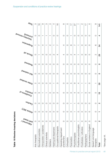| Table 19 Review hearing decisions     |                               |                                                         |                          |                                              |                          |                      |                 |                          |                          |                                                                     |                          |
|---------------------------------------|-------------------------------|---------------------------------------------------------|--------------------------|----------------------------------------------|--------------------------|----------------------|-----------------|--------------------------|--------------------------|---------------------------------------------------------------------|--------------------------|
|                                       | <b>DABALLED</b><br>/ paunolpy | $\mathcal{A}_{\mathcal{M}^{1}$ c/e 30 $(\gamma)_{\ast}$ | $\frac{U_{Q}}{U_{Q}}$    | <b>Practice</b><br>Jo suoitipuo <sup>O</sup> | Order revoked            | $\frac{1}{\sqrt{2}}$ | <b>Peatored</b> | <b>HO YONUS</b>          | u <sub>ojsuadsng</sub>   | IBAOW <sub>BI</sub> AIBJUNON<br>$(iu_{\partial SU_{O_\mathcal{O}}}$ | <b>Jotar</b>             |
| Arts therapists                       | $\bigcirc$                    | $\bigcirc$                                              | $\circ$                  | $\circ$                                      | $\mathcal{Q}$            | $\circ$              | $\circ$         | $\circ$                  | ↽                        | $\circ$                                                             | S                        |
| Biomedical scientists                 | $\circ$                       | $\circ$                                                 | $\circ$                  | 5                                            | က                        | $\circ$              | $\circ$         | $\overline{\phantom{0}}$ | $\sim$                   | $\circ$                                                             | $\frac{6}{1}$            |
| Chiropodists / podiatrists            | $\circ$                       | $\circ$                                                 | $\bigcirc$               | $\overline{\phantom{0}}$                     | $\circ$                  | $\bigcirc$           | $\bigcirc$      | S                        | 4                        | $\overline{\phantom{0}}$                                            | $\infty$                 |
| Clinical scientists                   | $\circ$                       | $\circ$                                                 | $\circ$                  | $\overline{\phantom{0}}$                     | $\circ$                  | $\circ$              | $\circ$         | $\circ$                  | $\overline{\phantom{0}}$ | $\overline{\phantom{0}}$                                            | က                        |
| Dietitians                            | $\circ$                       | $\circ$                                                 | $\circ$                  | $\circ$                                      | $\circ$                  | $\circ$              | $\circ$         | $\circ$                  | $\mathbf{\Omega}$        | $\overline{\phantom{0}}$                                            | S                        |
| Hearing aid dispensers                | $\circ$                       | $\circ$                                                 | $\circ$                  | $\circ$                                      | $\overline{\phantom{0}}$ | $\circ$              | $\circ$         | $\sim$                   | $\overline{\phantom{0}}$ | $\circ$                                                             | 4                        |
| Occupational therapists               | $\circ$                       | $\circ$                                                 | $\circ$                  | $\mathcal{C}$                                | S                        | $\circ$              | $\circ$         | 4                        | $\sim$                   | $\circ$                                                             | $\frac{6}{1}$            |
| Operating department<br>practitioners | $\bigcirc$                    | $\bigcirc$                                              | $\circ$                  | $\bigcirc$                                   | $\circ$                  | $\bigcirc$           | $\bigcirc$      | 4                        | 4                        | $\bigcirc$                                                          | $\infty$                 |
| Orthoptists                           | $\circ$                       | $\circ$                                                 | $\bigcirc$               | $\circ$                                      | $\circ$                  | $\circ$              | $\circ$         | $\circ$                  | $\circ$                  | $\circ$                                                             | $\circ$                  |
| Paramedics                            | $\circ$                       | $\circ$                                                 | $\overline{\phantom{0}}$ | $\circ$                                      | 5                        | $\circ$              | $\circ$         | $\sim$                   | $\infty$                 | $\overline{\phantom{0}}$                                            | $\overline{\phantom{0}}$ |
| Physiotherapists                      | $\overline{\phantom{0}}$      | $\overline{\phantom{0}}$                                | $\overline{\phantom{0}}$ | 4                                            | တ                        | $\circ$              | $\circ$         | 4                        | $\sim$                   | $\circ$                                                             | 27                       |
| Practitioner psychologists            | $\top$                        | $\circ$                                                 | $\circ$                  | $\circ$                                      | 4                        | $\circ$              | $\circ$         | $\overline{\phantom{0}}$ | $\top$                   | $\circ$                                                             | ∼                        |
| Prosthetists / orthotists             | $\circ$                       | $\circ$                                                 | $\circ$                  | $\overline{\phantom{0}}$                     | $\overline{\phantom{0}}$ | $\circ$              | $\circ$         | $\circ$                  | $\circ$                  | $\circ$                                                             | $\sim$                   |
| Radiographers                         | $\circ$                       | $\circ$                                                 | $\circ$                  | 5                                            | $\overline{\phantom{0}}$ | O                    | O               | 6                        | 5                        | O                                                                   | $\overline{\top}$        |
| Social workers in England             | $\bigcirc$                    | $\circ$                                                 | $\circ$                  | $\circ$                                      | $\circ$                  | $\circ$              | $\circ$         | $\circ$                  | $\circ$                  | $\circ$                                                             | $\circ$                  |
| Speech and language<br>therapists     | $\circ$                       | $\circ$                                                 | $\circ$                  | $\circ$                                      | $\overline{\phantom{0}}$ | $\circ$              | $\circ$         | $\mathcal{C}$            | $\circ$                  | $\circ$                                                             | $\infty$                 |
| Total                                 | $\mathbf{\Omega}$             | $\mathbf{\tau}$                                         | $\mathbf{\Omega}$        | $\frac{6}{10}$                               | 80                       | $\circ$              | $\circ$         | 29                       | 54                       | 4                                                                   | 4<br>$\leftarrow$        |

**ble 19 R e vie w h e arin g d e cisio n**

\*S e e

p a g e

4 4.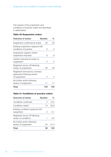The reviews of the suspension and conditions of practice orders are described in detail below:

#### **Table 20 Suspension orders**

| <b>Outcome of review</b>                                                       | Number | $\%$ |
|--------------------------------------------------------------------------------|--------|------|
| Suspension confirmed at review                                                 | 46     | 46   |
| Existing suspension replaced with<br>conditions of practice                    | З      | З    |
| Suspension expired, further<br>suspension imposed                              | 6      | 6    |
| Caution imposed at review of<br>suspension                                     | 2      | 2    |
| Registrant struck off following<br>review of suspension                        | 28     | 28   |
| Registrant removed by voluntary<br>agreement following period<br>of suspension | 4      |      |
| No further action following<br>review of suspension                            | 11     | 11   |
| Total                                                                          | 100    | 100  |

### **Table 21 Conditions of practice orders**

| Outcome of review                                       | Number | $\%$ |
|---------------------------------------------------------|--------|------|
| Conditions confirmed                                    | 4      | 10.2 |
| Conditions varied                                       | 12     | 30.8 |
| Existing conditions replaced with<br>suspension         | 2      | 5.1  |
| Registrant struck off following<br>review of conditions | 1      | 26   |
| No further action following<br>review of suspension     | 20     | 51.3 |
| Total                                                   | 39     |      |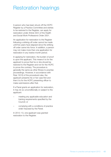# Restoration hearings

A person who has been struck off the HCPC Register by a Practice Committee and wishes to be restored to the Register, can apply for restoration under Article 33(1) of the Health and Social Work Professions Order 2001.

An application for restoration to the Register following a striking-off order cannot be made until five years have elapsed since the striking off order came into force. In addition, a person may not make more than one application for restoration in any twelve-month period.

In applying for restoration, the burden of proof is upon the applicant. This means it is for the applicant to prove that he or she should be restored to the Register and not for the HCPC to prove the contrary. The procedure is generally the same as other fitness to practise proceedings. However, in accordance with Rule 13(10) of the procedural rules, the applicant presents his or her case first and then it is for the HCPC presenting officer to make submissions after that.

If a Panel grants an application for restoration, it may do so unconditionally or subject to the applicant:

- meeting any applicable education and training requirements specified by the Council; or
- complying with a conditions of practice order imposed by the Panel.

In 2012–13, one applicant was granted restoration to the Register.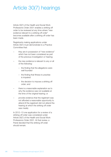# Article 30(7) hearings

Article 30(7) of the Health and Social Work Professions Order 2001 enables a striking off order to be reviewed at any time where "new evidence relevant to a striking off order" becomes available after a striking off order has been made.

Registrants making applications under Article 30(7) must demonstrate to a Practice Committee that:

- they are in possession of "new evidence" which has not been considered as part of the previous investigation or hearing;
- the new evidence is relevant to any or all of the following:
	- the finding that the allegations were well founded
	- the finding that fitness to practise is impaired
	- the decision to impose a striking off order; and
- there is a reasonable explanation as to why the evidence was not available at the time of the original hearing; or
- provide evidence that the registrant was not afforded a reasonable opportunity to attend (if the registrant did not attend the hearing at which the striking off order was made).

In 2012–13 one application for a review of a striking-off order was considered under Article 30(7) of the Health and Social Work Professions Order 2001. At that review, a Panel decided that the striking off order should remain.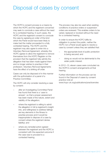# Disposal of cases by consent

The HCPC's consent process is a means by which the HCPC and the registrant concerned may seek to conclude a case without the need for a contested hearing. In such cases, the HCPC and the registrant consent to conclude the case by agreeing an order of the kind which the Panel would have been likely to make had the matter proceeded to a fully contested hearing. The HCPC and the registrant may also agree to enter into a Voluntary Removal Agreement, whereby the HCPC agrees to allow the registrant to remove themselves from the HCPC Register on the provision that the registrant fully admits the allegation that has been made against them and no longer wishes to practise in their profession. Voluntary Removal Agreements have the effect of a striking off order.

Cases can only be disposed of in this manner with the authorisation of a panel of a Practice Committee.

The HCPC will only consider resolving a case by consent:

- after an Investigating Committee Panel has found that there is a 'case to answer', so that a proper assessment has been made of the nature, extent and viability of the allegation;
- where the registrant is willing to admit the allegation in full (a registrant's insight into, and willingness to address failings are key elements in the fitness to practise process and it would be inappropriate to dispose of a case by consent where the registrant denies liability); and
- where any remedial action agreed between the registrant and the HCPC is consistent with the expected outcome if the case was to proceed to a contested hearing.

The process may also be used when existing conditions of practice orders or suspension orders are reviewed. This enables orders to be varied, replaced or revoked without the need for a contested hearing.

In order to ensure the HCPC fulfils its obligation to protect the public, neither the HCPC nor a Panel would agree to resolve a case by consent unless they are satisfied that:

- the appropriate level of public protection is being secured; and
- doing so would not be detrimental to the wider public interest.

In 2012–13, eleven cases were concluded via the HCPC's consent arrangements at final hearing.

Further information on the process can be found in the Disposal of cases by consent practice note at www.hcpc-uk.org/publications/practicenotes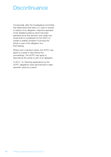# **Discontinuance**

Occasionally, after the Investigating Committee has determined that there is a 'case to answer' in respect of an allegation, objective appraisal of the detailed evidence which has been gathered since that decision was made may reveal that it is insufficient for the HCPC to sustain a realistic prospect of proving the whole or part of the allegation at a final hearing.

Where such a situation arises, the HCPC may apply to a panel to discontinue the proceedings. The HCPC may apply to discontinue the whole or part of an allegation.

In 2012–13, following applications by the HCPC, allegations were discontinued in eight separate cases by a panel.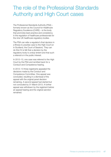# The role of the Professional Standards Authority and High Court cases

The Professional Standards Authority (PSA) – formerly known as the Council for Healthcare Regulatory Excellence (CHRE) – is the body that promotes best-practice and consistency in the regulation of healthcare professionals for the nine UK healthcare regulatory bodies.

The PSA can refer a regulator's final decision in a fitness to practise case to the High Court (or in Scotland, the Court of Session). They can do this if it is felt that a decision by the regulatory body is unduly lenient and that such a referral is in the public interest.

In 2012–13, one case was referred to the High Court by the PSA and remitted back for a Conduct and Competence hearing.

In 2012–13 three registrants appealed the decisions made by the Conduct and Competence Committee. One appeal was concluded, resulting in a dismissal of the appeal with the original panel decision remaining. A second appeal had started but not concluded by 31 March 2013. A further appeal was withdrawn by the registrant before an appeal hearing and the original sanction remained.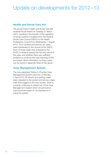# Update on developments for 2012–13

# **Health and Social Care Act**

The government's Health and Social Care Bill received Royal Assent on Tuesday 27 March 2012, resulting in the transfer of the regulation of social workers in England from the General Social Care Council (GSCC) to the Health Professions Council from Wednesday 1 August 2012. Four hundred and seventy six cases were transferred on the closure of the GSCC. Each of these cases was reviewed by the HCPC in order to assess the risk and nature of the case, and whether there was sufficient evidence to continue the case following HCPC processes. More information on these cases can be found in Appendix three of this report.

# **Case Management System**

The new paperless Fitness to Practise Case Management System went live on Monday 2 April 2012. All historic and existing cases were migrated to the system and all new cases were then logged on the new system. Work is currently underway on phase two of the Case Management System which should build in improvements based on our experience of using the system.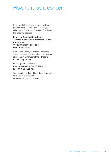# How to raise a concern

If you would like to raise a concern about a professional registered by the HCPC, please write to our Director of Fitness to Practise at the following address.

Fitness to Practise Department The Health and Care Professions Council Park House 184 Kennington Park Road London SE11 4BU

If you need advice, or feel your concerns should be taken over the telephone, you can also contact a member of the Fitness to Practise Department on:

#### tel +44 (0)20 7840 9814 freephone 0800 328 4218 (UK only) fax +44 (0)20 7582 4874

You may also find our 'Reporting a concern' form useful, available at www.hcpc-uk.org/complaints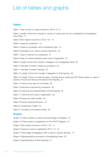# List of tables and graphs

### **Tables**

Table 1 Total number of cases received in 2012–13 9 Table 2 Length of time from receipt to closure of cases that are not considered by Investigating Committee 11 Table 3 Who raised concerns in 2012–13? 12 Table 4 Cases by profession 13 Table 5 Cases by profession and complainant type 14 Table 6 Examples of no case to answer decisions 18 Table 7 Case to answer by complainant 21 Table 8 Case to answer decisions and route to registration 21 Table 9 Length of time from receipt of allegation to Investigating Panel 22 Table 10 Number of interim orders by profession 24 Table 11 Number of public hearings 25 Table 12 Length of time from receipt of allegation to final hearing 26 Table 13 Length of time to close all cases, including those closed pre-ICP, those where no case to answer is found and those concluded at final hearing 27 Table 14 Outcome by type of committee 29 Table 15 Sanctions imposed by profession 30 Table 16 Outcome and representation at final hearing 32 Table 17 Outcome and route to registration 32 Table 18 Cases not well founded 38 Table 19 Review hearing decisions 41 Table 20 Suspension orders 42 Table 21 Conditions of practice orders 42 **Graphs** Graph 1a Total numbers of cases and percentage of Register 10 Graph 1b Total number of registrants on the HCPC Register 10 Graph 2 Who raised concerns in 2012–13? 12 Graph 3 Cases by route to registration 2012–13 15

- Graph 4 Percentage of allegations with a case to answer decision 17
- Graph 5 Representations provided to Investigating Panel 22
- Graph 6 Representation at final hearings 31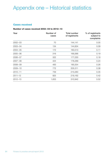# Appendix one – Historical statistics

#### **Cases received**

#### **Number of cases received 2002–03 to 2012–13**

| Year        | Number of<br>cases | <b>Total number</b><br>of registrants | % of registrants<br>subject to<br>complaints |
|-------------|--------------------|---------------------------------------|----------------------------------------------|
| $2002 - 03$ | 70                 | 144,141                               | 0.05                                         |
| $2003 - 04$ | 134                | 144,834                               | 0.09                                         |
| $2004 - 05$ | 172                | 160,513                               | 0.11                                         |
| $2005 - 06$ | 316                | 169,366                               | 0.19                                         |
| $2006 - 07$ | 322                | 177,230                               | 0.18                                         |
| $2007 - 08$ | 424                | 178,289                               | 0.24                                         |
| $2008 - 09$ | 483                | 185,554                               | 0.26                                         |
| $2009 - 10$ | 772                | 205,311                               | 0.38                                         |
| $2010 - 11$ | 759                | 215,083                               | 0.35                                         |
| $2011 - 12$ | 925                | 219,162                               | 0.42                                         |
| $2012 - 13$ | 1,653              | 310,942                               | 0.52                                         |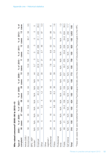Who raised concerns? 2005-06 to 2012-13 **Who raised concerns? 2005–06 to 2012–13**

| Type of                                                                                                                                    | $2005 -$      | % of $2006 - %$ |               |                | $2007 -$       | % of 2008-    |               | % of 2009-    |                | % of 2010-    |                          | % of $2011 -$ |               | $%$ of            | $2012 -$                 | $%$ of         |
|--------------------------------------------------------------------------------------------------------------------------------------------|---------------|-----------------|---------------|----------------|----------------|---------------|---------------|---------------|----------------|---------------|--------------------------|---------------|---------------|-------------------|--------------------------|----------------|
| complaint                                                                                                                                  | 8             | cases           | 70            | cases          | $\overline{0}$ | cases         | 80            | cases         | $\overline{0}$ | cases         | $\overline{1}$           | cases         | $\frac{2}{1}$ | cases             | $\frac{3}{5}$            | cases          |
| Article 22(6)<br>Anonymous                                                                                                                 | 58            | $\frac{8}{1}$   | 35            | 10.9           | 63             | 14.8          | 64            | $\frac{3}{1}$ | 108            | 13.9          | 166                      | 21.9          | 284           | 30.7              | 58                       | 3.5            |
| BPS/AEP<br>transfer*                                                                                                                       | $\frac{1}{2}$ | $\frac{1}{2}$   | $\leq$        | $\frac{1}{2}$  | $\frac{1}{2}$  | $\frac{1}{2}$ | $\frac{1}{2}$ | $\frac{1}{2}$ | $\overline{4}$ | 5.7           | $\circ$                  | $\circ$       | O             | $\circ$           | O                        | O              |
| Employer                                                                                                                                   | 123           | 39              | 161           | 50             | 171            | 40.3          | 202           | $\frac{2}{4}$ | 254            | 22.9          | 217                      | 28.6          | 288           | $-31.1$           | 435                      | 26.3           |
| Other                                                                                                                                      | 15            | 5               |               | c.c            | 5              | $\frac{2}{1}$ | $\frac{6}{1}$ | S             | 80             | 0.<br>ෆ       | $\overline{\mathcal{C}}$ | 2.7           | 46            | 5                 | 87                       | 5.3            |
| professional<br>registrant/<br>Other                                                                                                       | 88            | $\circ$         | $\frac{6}{1}$ | LO             | $\frac{2}{4}$  | 9.9           | 56            | $\frac{2}{1}$ | 89             | 7.8           | 75                       | 9.9           | 52            | 5.6               | 99                       | $\circ$        |
| Police                                                                                                                                     | 24            | ∞               | 75            | 9.6            | 35             | 3.3           | 36            | $\sim$        | 89             | 5.1           | 25                       | S.S           | 27            | S                 | 27                       | $\frac{0}{1}$  |
| Professional<br>body                                                                                                                       | $\frac{1}{2}$ | $\frac{1}{2}$   | $\frac{1}{2}$ | $\frac{1}{2}$  | $\frac{1}{2}$  | $\frac{1}{2}$ | $\frac{1}{2}$ | $\frac{1}{2}$ | $\leq$         | $\frac{1}{2}$ | $\frac{1}{2}$            | $\leq$        | $\frac{1}{2}$ | $\frac{1}{2}$     | $\overline{\mathcal{C}}$ | <u>က်</u>      |
| Public                                                                                                                                     | 68            | $\overline{2}$  | 78            | 24.2           | 108            | 25.5          | <b>PO1</b>    | 23            | 237            | 30.7          | 255                      | 33.6          | 228           | 24.6              | 634                      | 38.3           |
| Self referral                                                                                                                              | $\frac{1}{2}$ | $\leq$          | $\leq$        | $\frac{1}{2}$  | $\frac{1}{2}$  | $\leq$        | $\frac{1}{2}$ | $\frac{1}{2}$ | $\frac{1}{2}$  | $\frac{1}{2}$ | $\frac{1}{2}$            | $\frac{1}{2}$ | $\frac{1}{2}$ | $\frac{1}{2}$     | 292                      | 17.7           |
| Total                                                                                                                                      | 316           | 100             | 322           | $\frac{00}{1}$ | 424            | 100           | 483           | 100           | 772            | 100           | 759                      | 100           | 925           | $\frac{100}{100}$ | 1,653                    | $\frac{0}{10}$ |
| *These are cases that were transferred from the British Psychological Society and the Association of Educational Psychologists to the HPC. |               |                 |               |                |                |               |               |               |                |               |                          |               |               |                   |                          |                |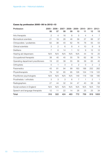# **Cases by profession 2005–06 to 2012–13**

| Profession                         | 06             | 07           | 08  | 09  |     | 2005-2006-2007-2008-2009-2010-2011-2012-<br>11 | 12             | 13             |
|------------------------------------|----------------|--------------|-----|-----|-----|------------------------------------------------|----------------|----------------|
|                                    |                |              |     |     | 10  |                                                |                |                |
| Arts therapists                    | $\overline{2}$ | 4            | 16  | 8   | 5   | $\overline{4}$                                 | $\overline{4}$ | 7              |
| <b>Biomedical scientists</b>       | 21             | 18           | 26  | 46  | 39  | 37                                             | 66             | 37             |
| Chiropodists / podiatrists         | 62             | 38           | 40  | 62  | 76  | 78                                             | 55             | 53             |
| Clinical scientists                | 3              | $\mathbf{2}$ | 6   | 8   | 4   | 10                                             | 9              | $\overline{9}$ |
| <b>Dietitians</b>                  | $\overline{7}$ | 6            | 14  | 1   | 12  | 9                                              | 12             | 12             |
| Hearing aid dispensers             | N/A            | N/A          | N/A | N/A | N/A | 44                                             | 19             | 25             |
| Occupational therapists            | 38             | 40           | 45  | 55  | 78  | 62                                             | 95             | 74             |
| Operating department practitioners | 19             | 22           | 38  | 55  | 38  | 39                                             | 63             | 45             |
| Orthoptists                        | 0              | 1            | 3   | 0   | 2   | $\overline{0}$                                 | $\mathbf{2}$   | $\mathbf{2}$   |
| Paramedics                         | 43             | 81           | 94  | 99  | 163 | 188                                            | 252            | 262            |
| Physiotherapists                   | 79             | 52           | 85  | 95  | 126 | 104                                            | 119            | 122            |
| Practitioner psychologists         | N/A            | N/A          | N/A | N/A | 149 | 118                                            | 138            | 180            |
| Prosthetists / orthotists          | 3              | 3            | 3   | 6   | 7   | 1                                              | 2              | 1              |
| Radiographers                      | 27             | 44           | 32  | 34  | 47  | 40                                             | 58             | 56             |
| Social workers in England          | N/A            | N/A          | N/A | N/A | N/A | N/A                                            | N/A            | 734            |
| Speech and language therapists     | 12             | 11           | 22  | 14  | 26  | 25                                             | 25             | 34             |
| Total                              | 316            | 322          | 424 | 483 | 772 | 759                                            | 919            | 1653           |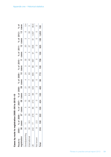Cases by route to registration 2005-06 to 2012-13 **Cases by route to registration 2005–06 to 2012–13**

| Route to             | 2005- % of 2006- % of |               |          |     |           |              | 2007– % of 2008– % of 2009– % of 2010– % of 2011– % of 2012– % of |                |       |           |           |                |              |           |       |
|----------------------|-----------------------|---------------|----------|-----|-----------|--------------|-------------------------------------------------------------------|----------------|-------|-----------|-----------|----------------|--------------|-----------|-------|
| egistration          | 06 cases              |               | 07 cases | 80  | cases     | 80           | cases                                                             | $\frac{1}{1}$  | cases | F         | cases     | $\frac{12}{1}$ | cases        | က<br>T    | cases |
| Grandparenting 35 11 |                       | $\frac{1}{5}$ | LW       | 15  | 3.5       | 7<br>2       | 4                                                                 | $\overline{2}$ | M     | SS<br>S   | 4         | $\infty$       | $\mathbb{N}$ | $\circ$   | 0.4   |
| iternational         | $30\qquad 9.5$        | 29            |          | 36  | 8.5       | 35           |                                                                   | 83             | ∞     | d<br>4    | ഥ         | 57             |              | 50        | M     |
|                      | 242 77                | 278           | 86       | 373 | 88        | 425          | 88                                                                | 685            | 88    | 687       | —<br>თ    | 848            |              | 91 1,597  | 96.6  |
| Not known            | 2.5                   |               |          | C   | $\subset$ | $\mathbb{Q}$ |                                                                   |                |       | $\subset$ | $\subset$ | $\subset$      |              | $\subset$ |       |
| <b>Total</b>         | 316 100 322 100       |               |          | 424 | 100       | 483          | 99                                                                | 772            | 100   | 759       | 100       | 925            |              | 100 1,653 | 100   |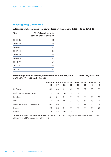#### **Investigating Committee**

#### **Allegations where a case to answer decision was reached 2004–05 to 2012–13**

| Year        | % of allegations with<br>case to answer decision |
|-------------|--------------------------------------------------|
| $2004 - 05$ | 44                                               |
| $2005 - 06$ | 58                                               |
| $2006 - 07$ | 65                                               |
| $2007 - 08$ | 62                                               |
| $2008 - 09$ | 57                                               |
| $2009 - 10$ | 58                                               |
| $2010 - 11$ | 57                                               |
| $2011 - 12$ | 51                                               |
| $2012 - 13$ | 58                                               |
|             |                                                  |

#### **Percentage case to answer, comparison of 2005–06, 2006–07, 2007–08, 2008–09, 2009–10, 2011–12 and 2012–13**

|                                 |    |          |          |          |    | 2005-2006-2007-2008-2009-2010-2011-2012- |          |          |
|---------------------------------|----|----------|----------|----------|----|------------------------------------------|----------|----------|
|                                 | 06 | 07       | 08       | 09       | 10 | 11                                       | 12       | 13       |
| 22(6)/Anon                      | 58 | 86       | 61       | 49       | 69 | 72                                       | 50       | 76       |
| BPS / AEP transfer cases*       | 0  | $\Omega$ | $\Omega$ | $\Omega$ |    | $\Omega$                                 | $\Omega$ | $\Omega$ |
| Employer                        | 81 | 84       | 84       | 81       | 80 | 82                                       | 69       | 73       |
| Other                           | 0  | $\Omega$ | 56       | 34       | 79 | 57                                       | 63       | 67       |
| Other registrant / professional | 60 | 46       | 77       | 67       | 62 | 29                                       | 50       | 29       |
| Police                          | 26 | 28       | 31       | 37       | 50 | 54                                       | 38       | 50       |
| Public                          | 18 | 33       | 29       | 22       | 22 | 22                                       | 17       | 19       |

\*These are cases that were transferred from the British Psychological Society and the Association of Educational Psychologists to the HPC.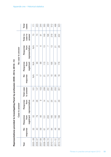355 512 498 523 Total cases  $171$ 220 244 489 response from from to answer response from from case to cases 2006–07 40 79 28 147 3 66 4 73 220 2007–08 59 59 59 153 153 98 88 88 88 88 17 17 98 88 88 88 88 98 17 2009–10 70 200 21 291 14 177 7 198 489 2011–12 198 1982 1982 1982 1982 1983 1984 1982 1984 1982 1984 1982 1984 1984 198 Year No Response Response Total case No Response Response Total no Total 2008–09 13 131 14 206 14 14 15 131 131 131 131 131 132 2010–11 84 185 25 294 10 195 13 218 512 2012–13 86 186 29 301 18 176 28 222 523 2005–06 32 52 14 101 N/A N/A N/A 70 171 case to 218 246 P<sub>O</sub> 73  $149$ 198 222 Total no answer registrant representative registrant representative answer  $\overline{\circ}$  $\frac{1}{2}$ Response from representative  $\overline{4}$  $\circlearrowright$  $\frac{1}{2}$  $\overline{\phantom{0}}$  $\frac{1}{2}$ 8  $\overline{\Omega}$ No case to answer Case to answer No case to answer registrant from  $\leq$  $115$ 195 176 66 89  $177$ Response 197  $\frac{1}{2}$  $\frac{1}{2}$  $\infty$  $\frac{\infty}{\infty}$ response  $\overline{4}$ 28  $\overline{1}$  $\overline{C}$  $\overline{\mathcal{C}}$ Total case  $147$ 153 206 294 252 to answer  $101$ 291 301 from  $\overline{4}$ Response representative 28  $\odot$  $\frac{1}{4}$ 29  $\overline{C}$ 25  $\overline{\Omega}$ Case to answer registrant from 52 79 85 200 185 182 186 Response  $131$  $\frac{1}{2}$ response  $\overline{C}$  $\frac{1}{2}$ 86 SS  $\overline{Q}$ 59  $\overline{8}$ 61  $2005 - 06$  $2008 - 09$ 2006-07 2007-08  $2009 - 10$  $2011 - 12$  $2012 - 13$  $2010 - 11$ Year

Representations provided to Investigating Panel by profession 2005-06 to 2012-13 **Representations provided to Investigating Panel by profession 2005– 06 to 2012– 13**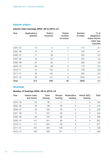# **Interim orders**

### **Interim order hearings 2004–05 to 2012–13**

| Year        | <b>Applications</b><br>granted | <b>Orders</b><br>reviewed | <b>Orders</b><br>revoked<br>on review | <b>Number</b><br>of cases | $%$ of<br>allegations<br>where interim<br>order was<br>imposed |
|-------------|--------------------------------|---------------------------|---------------------------------------|---------------------------|----------------------------------------------------------------|
| $2004 - 05$ | 15                             | $\overline{0}$            | 0                                     | 172                       | 8.7                                                            |
| $2005 - 06$ | 15                             | 12                        |                                       | 316                       | 4.7                                                            |
| $2006 - 07$ | 17                             | 38                        |                                       | 322                       | 5.3                                                            |
| $2007 - 08$ | 19                             | 52                        | 3                                     | 424                       | 4.5                                                            |
| $2008 - 09$ | 27                             | 55                        |                                       | 483                       | 5.6                                                            |
| $2009 - 10$ | 49                             | 86                        | 6                                     | 772                       | 6.3                                                            |
| $2010 - 11$ | 44                             | 123                       | 6                                     | 759                       | 5.8                                                            |
| $2011 - 12$ | 49                             | 142                       | $\overline{4}$                        | 925                       | 5.3                                                            |
| $2012 - 13$ | 39                             | 151                       | 8                                     | 1653                      | 2.4                                                            |
| Total       | 274                            | 659                       | 30                                    | 5826                      | 4.7                                                            |

# **Hearings**

# **Number of hearings 2004–05 to 2012–13**

| Year        | Interim order<br>and review | Final<br>hearing | <b>Review</b><br>hearing | Restoration<br>hearing | Article 30(7)<br>hearing | <b>Total</b> |
|-------------|-----------------------------|------------------|--------------------------|------------------------|--------------------------|--------------|
| $2004 - 05$ | 25                          | 66               | 11                       |                        | $\Omega$                 | 103          |
| $2005 - 06$ | 28                          | 86               | 26                       | O                      | $\bigcap$                | 140          |
| $2006 - 07$ | 55                          | 125              | 42                       | 0                      | $\Omega$                 | 222          |
| $2007 - 08$ | 71                          | 187              | 66                       | 0                      | Ω                        | 324          |
| $2008 - 09$ | 85                          | 219              | 92                       | 0                      | 0                        | 396          |
| $2009 - 10$ | 141                         | 331              | 95                       | 0                      | $\Omega$                 | 567          |
| $2010 - 11$ | 171                         | 404              | 99                       | $\overline{2}$         |                          | 677          |
| $2011 - 12$ | 197                         | 405              | 126                      | 3                      |                          | 732          |
| $2012 - 13$ | 194                         | 228              | 141                      |                        |                          | 565          |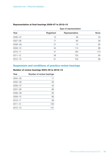|             |            | Type of representation |             |
|-------------|------------|------------------------|-------------|
| Year        | Registrant | Representative         | <b>None</b> |
| $2006 - 07$ | 13         | 46                     | 43          |
| $2007 - 08$ | 17         | 80                     | 59          |
| $2008 - 09$ | 21         | 74                     | 80          |
| $2009 - 10$ | 44         | 114                    | 98          |
| $2010 - 11$ | 41         | 160                    | 113         |
| $2011 - 12$ | 38         | 155                    | 94          |
| $2012 - 13$ | 31         | 102                    | 95          |

# **Representation at final hearings 2006–07 to 2012–13**

# **Suspension and conditions of practice review hearings**

#### **Number of review hearings 2004–05 to 2012–13**

| Year        | Number of review hearings |
|-------------|---------------------------|
| $2004 - 05$ | 11                        |
| $2005 - 06$ | 26                        |
| $2006 - 07$ | 42                        |
| $2007 - 08$ | 66                        |
| $2008 - 09$ | 92                        |
| $2009 - 10$ | 95                        |
| $2010 - 11$ | 99                        |
| $2011 - 12$ | 126                       |
| $2012 - 13$ | 141                       |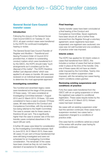# Appendix two – GSCC transfer cases

# **General Social Care Council transfer cases**

#### **Introduction**

Following the closure of the General Social Care Council (GSCC) on Tuesday 31 July 2012, all open conduct cases were transferred to the HCPC for continued investigation, hearing or review.

The General Social Care Council (Transfer of Register and Abolition – Transitional and Saving Provision) Order of Council 2012 provided that, in relation to outstanding conduct matters which were transferred to it by the GSCC, the HCPC should make "such arrangements as it considers just for the disposal of the matter". The HCPC therefore drafted 'just disposal criteria' which was applied to all cases on transfer. All cases were reviewed on an individual basis and assessed to determine the most appropriate approach.

#### **Investigating committee**

Two hundred and seventeen legacy cases were transferred at the stage of the process. Of these cases, 120 were considered at Investigating Committee between 1 August 2012 and 31 March 2013. Of these, 100 were considered to have a case to answer. Of these cases, 98 were referred to the Conduct and Competence Committee, with the remaining two being referred to the Health Committee. The case to answer rate for these cases is therefore 83 per cent. This is significantly higher than the case to answer rate of the nontransfer cases contained elsewhere in this report (58 per cent).

A further 28 cases were listed for consideration by the Investigating Committee between April to June 2013. At 31 March 2013, there were 36 cases (15 per cent of those transferred) that were still being investigated and were not scheduled for an Investigating Committee consideration. The remainder of the cases have been closed as they do not meet the standard of acceptance for allegations.

#### **Final hearings**

Twenty transfer cases have been concluded at a final hearing of the Conduct and Competence Committee. Seven registrants have been struck off, and a further three removed from the Register through a voluntary agreement; seven registrants have been suspended; one registrant was cautioned; one case was not well founded and one conditions of practice order was imposed.

#### **Interim orders**

The HCPC has applied for 32 interim orders in cases that transferred from GSCC, this includes a number of cases that had an interim order in place at the time of the transfer. Only one of these cases did not have an interim order imposed by the Committee. Twenty nine cases had an interim suspension order imposed, with the remaining two cases having interim conditions orders granted.

#### **Reviewing existing suspensions and conditions of practice**

Forty five cases were transferred from the GSCC with an on-going suspension or where the registrant was subject to conditional registration. These cases require review by the HCPC and as of 31 March 2013, thirteen cases had been reviewed.

Six cases with an existing suspension order had this sanction continued; three cases had a suspension revoked; two cases had a suspension changed to a conditions of practice order.

One case had its conditions varied as a result of the review with another case having its conditions continued.